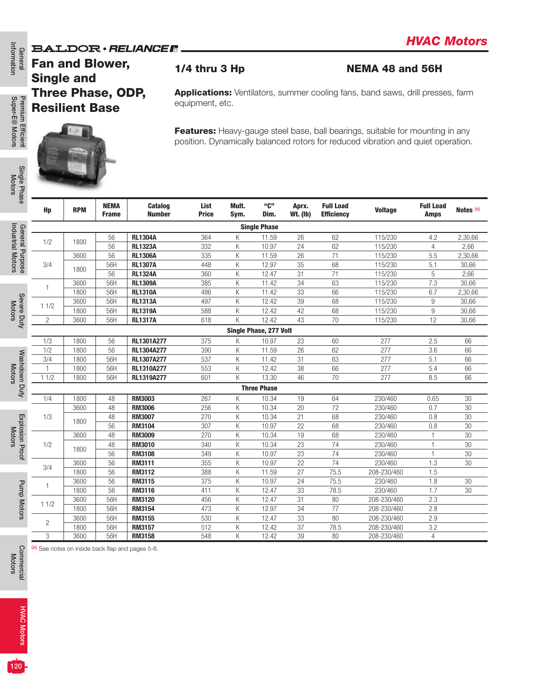### **BALDOR · RELIANCER**



|                                      |                                             |                                                   |                             | DALIDUR • HELIANGE III                           |                      |               |                        |                          |                                       |                                                                                                                                                                   |                                 |                      |
|--------------------------------------|---------------------------------------------|---------------------------------------------------|-----------------------------|--------------------------------------------------|----------------------|---------------|------------------------|--------------------------|---------------------------------------|-------------------------------------------------------------------------------------------------------------------------------------------------------------------|---------------------------------|----------------------|
| formation<br>General                 | <b>Fan and Blower,</b><br><b>Single and</b> |                                                   |                             |                                                  | $1/4$ thru 3 Hp      |               |                        |                          |                                       | <b>NEMA 48 and 56H</b>                                                                                                                                            |                                 |                      |
| Premium Efficient<br>Super-E® Motors |                                             | <b>Three Phase, ODP,</b><br><b>Resilient Base</b> |                             |                                                  | equipment, etc.      |               |                        |                          |                                       | <b>Applications:</b> Ventilators, summer cooling fans, band saws, drill presses, farm                                                                             |                                 |                      |
|                                      |                                             |                                                   |                             |                                                  |                      |               |                        |                          |                                       | Features: Heavy-gauge steel base, ball bearings, suitable for mounting in any<br>position. Dynamically balanced rotors for reduced vibration and quiet operation. |                                 |                      |
| Single Phase<br>Motors               |                                             |                                                   |                             |                                                  |                      |               |                        |                          |                                       |                                                                                                                                                                   |                                 |                      |
|                                      | Hp                                          | <b>RPM</b>                                        | <b>NEMA</b><br><b>Frame</b> | <b>Catalog</b><br><b>Number</b>                  | List<br><b>Price</b> | Mult.<br>Sym. | "C"<br>Dim.            | Aprx.<br><b>Wt. (Ib)</b> | <b>Full Load</b><br><b>Efficiency</b> | <b>Voltage</b>                                                                                                                                                    | <b>Full Load</b><br><b>Amps</b> | Notes <sup>(a)</sup> |
|                                      |                                             |                                                   |                             |                                                  |                      |               | <b>Single Phase</b>    |                          |                                       |                                                                                                                                                                   |                                 |                      |
|                                      |                                             |                                                   | 56                          | <b>RL1304A</b>                                   | 364                  | К             | 11.59                  | 26                       | 62                                    | 115/230                                                                                                                                                           | 4.2                             | 2,30,66              |
| General Purpose<br>Industrial Motors | 1/2                                         | 1800                                              | 56                          | <b>RL1323A</b>                                   | 332                  | K             | 10.97                  | 24                       | 62                                    | 115/230                                                                                                                                                           | $\overline{4}$                  | 2,66                 |
|                                      |                                             | 3600                                              | 56                          | <b>RL1306A</b>                                   | 335                  | К             | 11.59                  | 26                       | 71                                    | 115/230                                                                                                                                                           | 5.5                             | 2,30,66              |
|                                      | 3/4                                         |                                                   | 56H                         | <b>RL1307A</b>                                   | 448                  | К             | 12.97                  | 35                       | 68                                    | 115/230                                                                                                                                                           | 5.1                             | 30,66                |
|                                      |                                             | 1800                                              | 56                          | <b>RL1324A</b>                                   | 360                  | К             | 12.47                  | 31                       | 71                                    | 115/230                                                                                                                                                           | $\mathbf 5$                     | 2,66                 |
|                                      |                                             | 3600                                              | 56H                         | <b>RL1309A</b>                                   | 385                  | K             | 11.42                  | 34                       | 63                                    | 115/230                                                                                                                                                           | 7.3                             | 30,66                |
|                                      | 1                                           | 1800                                              | 56H                         | <b>RL1310A</b>                                   | 486                  | К             | 11.42                  | 33                       | 66                                    | 115/230                                                                                                                                                           | 6.7                             | 2,30,66              |
| Severe Duty<br>Motors                |                                             |                                                   | 56H                         |                                                  | 497                  |               |                        | 39                       | 68                                    |                                                                                                                                                                   |                                 |                      |
|                                      | 11/2                                        | 3600                                              |                             | <b>RL1313A</b>                                   |                      | К             | 12.42                  |                          |                                       | 115/230                                                                                                                                                           | $9\,$                           | 30,66                |
|                                      |                                             | 1800                                              | 56H                         | <b>RL1319A</b>                                   | 588                  | К             | 12.42                  | 42                       | 68                                    | 115/230                                                                                                                                                           | $\boldsymbol{9}$                | 30,66                |
|                                      | $\overline{2}$                              | 3600                                              | 56H                         | <b>RL1317A</b>                                   | 618                  | K             | 12.42                  | 43                       | 70                                    | 115/230                                                                                                                                                           | 12                              | 30,66                |
|                                      |                                             |                                                   |                             |                                                  |                      |               | Single Phase, 277 Volt |                          |                                       |                                                                                                                                                                   |                                 |                      |
|                                      | 1/3                                         | 1800                                              | 56                          | RL1301A277                                       | 375                  | Κ             | 10.97                  | 23                       | 60                                    | 277                                                                                                                                                               | 2.5                             | 66                   |
|                                      | 1/2                                         | 1800                                              | 56                          | RL1304A277                                       | 390                  | Κ             | 11.59                  | 26                       | 62                                    | 277                                                                                                                                                               | 3.6                             | 66                   |
|                                      | 3/4                                         | 1800                                              | 56H                         | RL1307A277                                       | 537                  | К             | 11.42                  | 31                       | 63                                    | 277                                                                                                                                                               | 5.1                             | 66                   |
|                                      | $\mathbf{1}$                                | 1800                                              | 56H                         | RL1310A277                                       | 553                  | К             | 12.42                  | 38                       | 66                                    | 277                                                                                                                                                               | 5.4                             | 66                   |
|                                      | 11/2                                        | 1800                                              | 56H                         | RL1319A277                                       | 601                  | K             | 13.30                  | 46                       | 70                                    | 277                                                                                                                                                               | 8.5                             | 66                   |
| Washdown Duty<br>Motors              |                                             |                                                   |                             |                                                  |                      |               | <b>Three Phase</b>     |                          |                                       |                                                                                                                                                                   |                                 |                      |
|                                      | 1/4                                         | 1800                                              | 48                          | <b>RM3003</b>                                    | 267                  | К             | 10.34                  | 19                       | 64                                    | 230/460                                                                                                                                                           | 0.65                            | 30                   |
|                                      |                                             | 3600                                              | 48                          | <b>RM3006</b>                                    | 256                  | Κ             | 10.34                  | 20                       | 72                                    | 230/460                                                                                                                                                           | 0.7                             | 30                   |
|                                      |                                             |                                                   | 48                          |                                                  |                      |               |                        |                          | 68                                    |                                                                                                                                                                   |                                 |                      |
| Explosion Proof                      | 1/3                                         | 1800                                              |                             | <b>RM3007</b>                                    | 270                  | К             | 10.34                  | 21                       |                                       | 230/460                                                                                                                                                           | 0.8                             | 30                   |
| <b>Motors</b>                        |                                             |                                                   | 56                          | <b>RM3104</b>                                    | 307                  | Κ             | 10.97                  | 22                       | 68                                    | 230/460                                                                                                                                                           | 0.8                             | 30                   |
|                                      |                                             | 3600                                              | 48                          | <b>RM3009</b>                                    | 270                  | K             | 10.34                  | 19                       | 68                                    | 230/460                                                                                                                                                           | $\mathbf{1}$                    | 30                   |
|                                      | 1/2                                         | 1800                                              | 48                          | <b>RM3010</b>                                    | 340                  | Κ             | 10.34                  | 23                       | 74                                    | 230/460                                                                                                                                                           | 1                               | 30                   |
|                                      |                                             |                                                   | 56                          | <b>RM3108</b>                                    | 349                  | К             | 10.97                  | 23                       | 74                                    | 230/460                                                                                                                                                           | $\mathbf{1}$                    | 30                   |
|                                      | 3/4                                         | 3600                                              | 56                          | RM3111                                           | 355                  | Κ             | 10.97                  | 22                       | 74                                    | 230/460                                                                                                                                                           | 1.3                             | 30                   |
|                                      |                                             | 1800                                              | 56                          | <b>RM3112</b>                                    | 388                  | K             | 11.59                  | 27                       | 75.5                                  | 208-230/460                                                                                                                                                       | 1.5                             |                      |
|                                      | 1                                           | 3600                                              | 56                          | <b>RM3115</b>                                    | 375                  | Κ             | 10.97                  | 24                       | 75.5                                  | 230/460                                                                                                                                                           | 1.8                             | 30                   |
| <b>Pump Motors</b>                   |                                             | 1800                                              | 56                          | <b>RM3116</b>                                    | 411                  | К             | 12.47                  | 33                       | 78.5                                  | 230/460                                                                                                                                                           | 1.7                             | 30                   |
|                                      | 11/2                                        | 3600                                              | 56H                         | <b>RM3120</b>                                    | 456                  | Κ             | 12.47                  | 31                       | 80                                    | 208-230/460                                                                                                                                                       | 2.3                             |                      |
|                                      |                                             | 1800                                              | 56H                         | <b>RM3154</b>                                    | 473                  | Κ             | 12.97                  | 34                       | 77                                    | 208-230/460                                                                                                                                                       | 2.8                             |                      |
|                                      | $\overline{c}$                              | 3600                                              | 56H                         | RM3155                                           | 530                  | Κ             | 12.47                  | 33                       | 80                                    | 208-230/460                                                                                                                                                       | 2.9                             |                      |
|                                      |                                             | 1800                                              | 56H                         | <b>RM3157</b>                                    | 512                  | Κ             | 12.42                  | 37                       | 78.5                                  | 208-230/460                                                                                                                                                       | 3.2                             |                      |
|                                      | 3                                           | 3600                                              | 56H                         | <b>RM3158</b>                                    | 548                  | Κ             | 12.42                  | 39                       | 80                                    | 208-230/460                                                                                                                                                       | $\overline{4}$                  |                      |
| Commercial<br>Motors                 |                                             |                                                   |                             | (a) See notes on inside back flap and pages 5-6. |                      |               |                        |                          |                                       |                                                                                                                                                                   |                                 |                      |
| <b>HVAC Motors</b>                   |                                             |                                                   |                             |                                                  |                      |               |                        |                          |                                       |                                                                                                                                                                   |                                 |                      |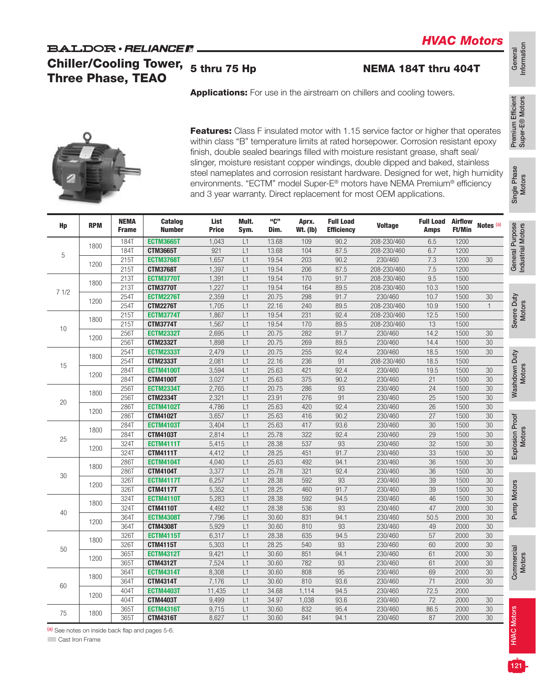## **BALDOR** · RELIANCE F Chiller/Cooling Tower,

## 5 thru 75 Hp NEMA 184T thru 404T



|      | <b>Three Phase, TEAO</b> |                             | <b>Chiller/Cooling Tower,</b>       | 5 thru 75 Hp         |               |                |                          |                                       | NEMA 184T thru 404T                                                                                                                                                                                                                                                                                                                             |                                 |                                 |                        |
|------|--------------------------|-----------------------------|-------------------------------------|----------------------|---------------|----------------|--------------------------|---------------------------------------|-------------------------------------------------------------------------------------------------------------------------------------------------------------------------------------------------------------------------------------------------------------------------------------------------------------------------------------------------|---------------------------------|---------------------------------|------------------------|
|      |                          |                             |                                     |                      |               |                |                          |                                       | Applications: For use in the airstream on chillers and cooling towers.                                                                                                                                                                                                                                                                          |                                 |                                 |                        |
|      |                          |                             |                                     |                      |               |                |                          |                                       | Features: Class F insulated motor with 1.15 service factor or higher that operates<br>within class "B" temperature limits at rated horsepower. Corrosion resistant epoxy<br>finish, double sealed bearings filled with moisture resistant grease, shaft seal/                                                                                   |                                 |                                 |                        |
|      |                          |                             |                                     |                      |               |                |                          |                                       | slinger, moisture resistant copper windings, double dipped and baked, stainless<br>steel nameplates and corrosion resistant hardware. Designed for wet, high humidity<br>environments. "ECTM" model Super-E <sup>®</sup> motors have NEMA Premium <sup>®</sup> efficiency<br>and 3 year warranty. Direct replacement for most OEM applications. |                                 |                                 |                        |
| Hp   | <b>RPM</b>               | <b>NEMA</b><br><b>Frame</b> | <b>Catalog</b><br><b>Number</b>     | List<br><b>Price</b> | Mult.<br>Sym. | "C"<br>Dim.    | Aprx.<br><b>Wt. (Ib)</b> | <b>Full Load</b><br><b>Efficiency</b> | <b>Voltage</b>                                                                                                                                                                                                                                                                                                                                  | <b>Full Load</b><br><b>Amps</b> | <b>Airflow</b><br><b>Ft/Min</b> | Notes <sup>(a)</sup>   |
|      | 1800                     | <b>184T</b>                 | <b>ECTM3665T</b>                    | 1,043                | L1            | 13.68          | 109                      | 90.2                                  | 208-230/460                                                                                                                                                                                                                                                                                                                                     | 6.5                             | 1200                            |                        |
| 5    |                          | <b>184T</b>                 | <b>CTM3665T</b>                     | 921                  | L1            | 13.68          | 104                      | 87.5                                  | 208-230/460                                                                                                                                                                                                                                                                                                                                     | 6.7                             | 1200                            |                        |
|      | 1200                     | 215T                        | <b>ECTM3768T</b>                    | 1,657                | L1            | 19.54          | 203                      | 90.2                                  | 230/460                                                                                                                                                                                                                                                                                                                                         | 7.3                             | 1200                            | 30                     |
|      |                          | 215T                        | <b>CTM3768T</b>                     | 1,397                | L1            | 19.54          | 206                      | 87.5                                  | 208-230/460                                                                                                                                                                                                                                                                                                                                     | 7.5                             | 1200                            |                        |
|      | 1800                     | 213T                        | <b>ECTM3770T</b>                    | 1,391                | L1            | 19.54          | 170                      | 91.7                                  | 208-230/460                                                                                                                                                                                                                                                                                                                                     | 9.5                             | 1500                            |                        |
| 71/2 |                          | 213T                        | <b>CTM3770T</b>                     | 1,227                | L1            | 19.54          | 164                      | 89.5                                  | 208-230/460                                                                                                                                                                                                                                                                                                                                     | 10.3                            | 1500                            |                        |
|      | 1200                     | 254T                        | <b>ECTM2276T</b><br><b>CTM2276T</b> | 2,359                | L1            | 20.75          | 298<br>240               | 91.7                                  | 230/460<br>208-230/460                                                                                                                                                                                                                                                                                                                          | 10.7<br>10.9                    | 1500<br>1500                    | $30\,$<br>$\mathbf{1}$ |
|      |                          | 254T<br>215T                | <b>ECTM3774T</b>                    | 1,705<br>1,867       | L1<br>L1      | 22.16<br>19.54 | 231                      | 89.5<br>92.4                          | 208-230/460                                                                                                                                                                                                                                                                                                                                     | 12.5                            | 1500                            |                        |
| 10   | 1800                     | 215T                        | <b>CTM3774T</b>                     | 1,567                | L1            | 19.54          | 170                      | 89.5                                  | 208-230/460                                                                                                                                                                                                                                                                                                                                     | 13                              | 1500                            |                        |
|      |                          | 256T                        | <b>ECTM2332T</b>                    | 2,695                | L1            | 20.75          | 282                      | 91.7                                  | 230/460                                                                                                                                                                                                                                                                                                                                         | 14.2                            | 1500                            | 30                     |
|      | 1200                     | 256T                        | <b>CTM2332T</b>                     | 1,898                | L1            | 20.75          | 269                      | 89.5                                  | 230/460                                                                                                                                                                                                                                                                                                                                         | 14.4                            | 1500                            | 30                     |
|      |                          | 254T                        | <b>ECTM2333T</b>                    | 2,479                | L1            | 20.75          | 255                      | 92.4                                  | 230/460                                                                                                                                                                                                                                                                                                                                         | 18.5                            | 1500                            | $30\,$                 |
|      | 1800                     | <b>254T</b>                 | <b>CTM2333T</b>                     | 2,081                | L1            | 22.16          | 236                      | 91                                    | 208-230/460                                                                                                                                                                                                                                                                                                                                     | 18.5                            | 1500                            |                        |
| 15   |                          | <b>284T</b>                 | <b>ECTM4100T</b>                    | 3,594                | L1            | 25.63          | 421                      | 92.4                                  | 230/460                                                                                                                                                                                                                                                                                                                                         | 19.5                            | 1500                            | 30                     |
|      | 1200                     | <b>284T</b>                 | <b>CTM4100T</b>                     | 3,027                | L1            | 25.63          | 375                      | 90.2                                  | 230/460                                                                                                                                                                                                                                                                                                                                         | 21                              | 1500                            | 30                     |
|      |                          | 2567                        | <b>ECTM2334T</b>                    | 2,765                | L1            | 20.75          | 286                      | 93                                    | 230/460                                                                                                                                                                                                                                                                                                                                         | 24                              | 1500                            | $30\,$                 |
|      | 1800                     | 256T                        | <b>CTM2334T</b>                     | 2,321                | L1            | 23.91          | 276                      | 91                                    | 230/460                                                                                                                                                                                                                                                                                                                                         | 25                              | 1500                            | 30                     |
| 20   |                          | 286T                        | <b>ECTM4102T</b>                    | 4,786                | L1            | 25.63          | 420                      | 92.4                                  | 230/460                                                                                                                                                                                                                                                                                                                                         | 26                              | 1500                            | 30                     |
|      | 1200                     | 286T                        | <b>CTM4102T</b>                     | 3,657                | L1            | 25.63          | 416                      | 90.2                                  | 230/460                                                                                                                                                                                                                                                                                                                                         | 27                              | 1500                            | $30\,$                 |
|      |                          | <b>284T</b>                 | <b>ECTM4103T</b>                    | 3,404                | L1            | 25.63          | 417                      | 93.6                                  | 230/460                                                                                                                                                                                                                                                                                                                                         | 30                              | 1500                            | 30                     |
|      | 1800                     | <b>284T</b>                 | <b>CTM4103T</b>                     | 2,814                | L1            | 25.78          | 322                      | 92.4                                  | 230/460                                                                                                                                                                                                                                                                                                                                         | 29                              | 1500                            | 30                     |
| 25   |                          | 324T                        | <b>ECTM4111T</b>                    | 5,415                | L1            | 28.38          | 537                      | 93                                    | 230/460                                                                                                                                                                                                                                                                                                                                         | 32                              | 1500                            | 30                     |
|      | 1200                     | <b>324T</b>                 | <b>CTM4111T</b>                     | 4,412                | L1            | 28.25          | 451                      | 91.7                                  | 230/460                                                                                                                                                                                                                                                                                                                                         | 33                              | 1500                            | 30                     |
|      |                          | <b>286T</b>                 | <b>ECTM4104T</b>                    | 4,040                | L1            | 25.63          | 492                      | 94.1                                  | 230/460                                                                                                                                                                                                                                                                                                                                         | 36                              | 1500                            | 30                     |
| 30   | 1800                     | 2867                        | <b>CTM4104T</b>                     | 3,377                | L1            | 25.78          | 321                      | 92.4                                  | 230/460                                                                                                                                                                                                                                                                                                                                         | 36                              | 1500                            | 30                     |
|      | 1200                     | 326T                        | <b>ECTM4117T</b>                    | 6,257                | L1            | 28.38          | 592                      | 93                                    | 230/460                                                                                                                                                                                                                                                                                                                                         | 39                              | 1500                            | 30                     |
|      |                          | 326T                        | <b>CTM4117T</b>                     | 5,352                | L1            | 28.25          | 460                      | 91.7                                  | 230/460                                                                                                                                                                                                                                                                                                                                         | 39                              | 1500                            | 30                     |
|      | 1800                     | 324T                        | <b>ECTM4110T</b>                    | 5,283                | L1            | 28.38          | 592                      | 94.5                                  | 230/460                                                                                                                                                                                                                                                                                                                                         | 46                              | 1500                            | 30                     |
| 40   |                          | 324T                        | <b>CTM4110T</b>                     | 4,492                | L1            | 28.38          | 536                      | 93                                    | 230/460                                                                                                                                                                                                                                                                                                                                         | 47                              | 2000                            | 30                     |
|      | 1200                     | 364T                        | <b>ECTM4308T</b>                    | 7,796                | L1            | 30.60          | 831                      | 94.1                                  | 230/460                                                                                                                                                                                                                                                                                                                                         | 50.5                            | 2000                            | 30                     |
|      |                          | 364T                        | <b>CTM4308T</b>                     | 5,929                | L1            | 30.60          | 810                      | 93                                    | 230/460                                                                                                                                                                                                                                                                                                                                         | 49                              | 2000                            | 30                     |
|      | 1800                     | 326T                        | <b>ECTM4115T</b>                    | 6,317                | L1            | 28.38          | 635                      | 94.5                                  | 230/460                                                                                                                                                                                                                                                                                                                                         | 57                              | 2000                            | $30\,$                 |
| 50   |                          | 326T                        | <b>CTM4115T</b>                     | 5,303                | L1            | 28.25          | 540                      | 93                                    | 230/460                                                                                                                                                                                                                                                                                                                                         | 60                              | 2000                            | 30                     |
|      | 1200                     | 365T                        | <b>ECTM4312T</b>                    | 9,421                | L1            | 30.60          | 851                      | 94.1                                  | 230/460                                                                                                                                                                                                                                                                                                                                         | 61                              | 2000                            | 30                     |
|      |                          | 365T                        | <b>CTM4312T</b>                     | 7,524                | L1            | 30.60          | 782                      | 93                                    | 230/460                                                                                                                                                                                                                                                                                                                                         | 61                              | 2000                            | 30                     |
|      | 1800                     | 364T                        | <b>ECTM4314T</b>                    | 8,308                | L1            | 30.60          | 808                      | 95                                    | 230/460                                                                                                                                                                                                                                                                                                                                         | 69<br>71                        | 2000<br>2000                    | $30\,$                 |
| 60   |                          | 364T<br>404T                | <b>CTM4314T</b>                     | 7,176                | L1            | 30.60          | 810                      | 93.6                                  | 230/460<br>230/460                                                                                                                                                                                                                                                                                                                              |                                 | 2000                            | 30                     |
|      | 1200                     |                             | <b>ECTM4403T</b>                    | 11,435               | L1            | 34.68          | 1,114                    | 94.5                                  |                                                                                                                                                                                                                                                                                                                                                 | 72.5                            |                                 |                        |
|      |                          | 404T                        | <b>CTM4403T</b>                     | 9,499<br>9,715       | L1<br>L1      | 34.97<br>30.60 | 1,038<br>832             | 93.6<br>95.4                          | 230/460<br>230/460                                                                                                                                                                                                                                                                                                                              | 72<br>86.5                      | 2000<br>2000                    | 30<br>$30\,$           |
|      |                          |                             |                                     |                      |               |                |                          |                                       |                                                                                                                                                                                                                                                                                                                                                 |                                 |                                 |                        |
| 75   | 1800                     | 365T<br>365T                | <b>ECTM4316T</b><br><b>CTM4316T</b> | 8,627                | L1            | 30.60          | 841                      | 94.1                                  | 230/460                                                                                                                                                                                                                                                                                                                                         | 87                              | 2000                            | 30                     |

Information

General<br>Information

Premium Efficient Super-E® Motors

Premium Efficient<br>Super-E® Motors

Motors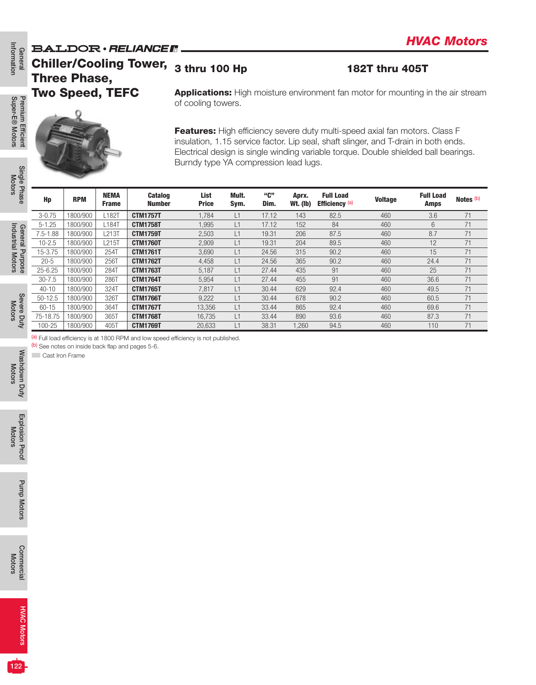## **BALDOR** · RELIANCE N Chiller/Cooling Tower,

## 3 thru 100 Hp 182T thru 405T

Premium Efficient<br>Super-E® Motors Super-E® Motors Premium Efficient

Information

General<br>Information

Single Phase<br>Motors

Industrial Motors Industrial Motors

| Premium Efficient                            |                          |                      |                             |                                    | Features: High efficiency severe duty multi-speed axial fan motors. Class F<br>insulation, 1.15 service factor. Lip seal, shaft slinger, and T-drain in both ends.<br>Electrical design is single winding variable torque. Double shielded ball bearings.<br>Burndy type YA compression lead lugs. |               |                |                          |                                    |                |                                 |                      |
|----------------------------------------------|--------------------------|----------------------|-----------------------------|------------------------------------|----------------------------------------------------------------------------------------------------------------------------------------------------------------------------------------------------------------------------------------------------------------------------------------------------|---------------|----------------|--------------------------|------------------------------------|----------------|---------------------------------|----------------------|
| Single Phase                                 | Hp                       | <b>RPM</b>           | <b>NEMA</b><br><b>Frame</b> | <b>Catalog</b><br><b>Number</b>    | List<br><b>Price</b>                                                                                                                                                                                                                                                                               | Mult.<br>Sym. | "C"<br>Dim.    | Aprx.<br><b>Wt. (Ib)</b> | <b>Full Load</b><br>Efficiency (a) | <b>Voltage</b> | <b>Full Load</b><br><b>Amps</b> | Notes <sup>(b)</sup> |
|                                              | $3 - 0.75$               | 1800/900             | L182T                       | <b>CTM1757T</b>                    | 1,784                                                                                                                                                                                                                                                                                              | L1            | 17.12          | 143                      | 82.5                               | 460            | 3.6                             | 71                   |
|                                              | $5 - 1.25$               | 1800/900             | L184T                       | <b>CTM1758T</b>                    | 1,995                                                                                                                                                                                                                                                                                              | L1            | 17.12          | 152                      | 84                                 | 460            | 6                               | 71                   |
|                                              | $7.5 - 1.88$             | 1800/900             | L213T                       | <b>CTM1759T</b>                    | 2,503                                                                                                                                                                                                                                                                                              | L1            | 19.31          | 206                      | 87.5                               | 460            | 8.7                             | 71                   |
| General Purpose                              | $10 - 2.5$               | 1800/900             | L215T                       | <b>CTM1760T</b>                    | 2,909                                                                                                                                                                                                                                                                                              | L1            | 19.31          | 204                      | 89.5                               | 460            | 12                              | $71\,$               |
|                                              | 15-3.75                  | 1800/900             | 254T                        | <b>CTM1761T</b>                    | 3,690                                                                                                                                                                                                                                                                                              | L1            | 24.56          | 315                      | 90.2                               | 460            | 15                              | $\overline{71}$      |
|                                              | $20 - 5$                 | 1800/900             | 256T                        | <b>CTM1762T</b>                    | 4,458                                                                                                                                                                                                                                                                                              | L1            | 24.56          | 365                      | 90.2                               | 460            | 24.4                            | 71                   |
|                                              | $25 - 6.25$              | 1800/900             | 284T                        | <b>CTM1763T</b>                    | 5,187                                                                                                                                                                                                                                                                                              | L1            | 27.44          | 435                      | 91                                 | 460            | 25                              | 71                   |
|                                              | $30 - 7.5$               | 1800/900             | 286T                        | <b>CTM1764T</b>                    | 5,954                                                                                                                                                                                                                                                                                              | L1            | 27.44          | 455                      | 91                                 | 460            | 36.6                            | $71\,$               |
|                                              | $40 - 10$<br>$50 - 12.5$ | 1800/900             | 324T                        | <b>CTM1765T</b>                    | 7,817<br>9,222                                                                                                                                                                                                                                                                                     | L1            | 30.44          | 629                      | 92.4                               | 460            | 49.5                            | 71<br>71             |
| Severe Duty                                  | 60-15                    | 1800/900<br>1800/900 | 326T<br>364T                | <b>CTM1766T</b><br><b>CTM1767T</b> | 13,356                                                                                                                                                                                                                                                                                             | L1<br>L1      | 30.44<br>33.44 | 678<br>865               | 90.2<br>92.4                       | 460<br>460     | 60.5<br>69.6                    | 71                   |
|                                              | 75-18.75                 | 1800/900             | 365T                        | <b>CTM1768T</b>                    | 16,735                                                                                                                                                                                                                                                                                             | L1            | 33.44          | 890                      | 93.6                               | 460            | 87.3                            | $71\,$               |
|                                              | 100-25                   | 1800/900             | 405T                        | <b>CTM1769T</b>                    | 20,633                                                                                                                                                                                                                                                                                             | L1            | 38.31          | 1,260                    | 94.5                               | 460            | 110                             | $\overline{71}$      |
| Washdown Duty                                |                          |                      |                             |                                    |                                                                                                                                                                                                                                                                                                    |               |                |                          |                                    |                |                                 |                      |
|                                              |                          |                      |                             |                                    |                                                                                                                                                                                                                                                                                                    |               |                |                          |                                    |                |                                 |                      |
| <b>Explosion Proof</b><br><b>Pump Motors</b> |                          |                      |                             |                                    |                                                                                                                                                                                                                                                                                                    |               |                |                          |                                    |                |                                 |                      |
| <b>Commercial</b>                            |                          |                      |                             |                                    |                                                                                                                                                                                                                                                                                                    |               |                |                          |                                    |                |                                 |                      |

Washdown Duty Washdown Duty<br>Motors

Explosion Proof Explosion Proof<br>Motors

Commercial Commercial<br>Motors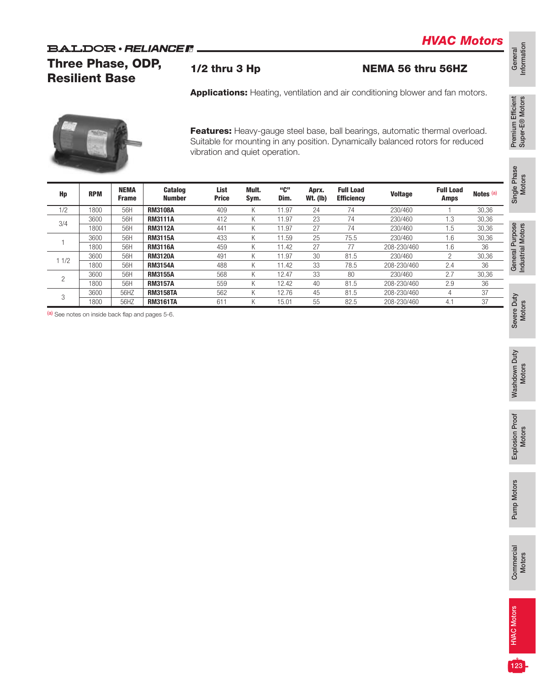### **BALDOR** · RELIANCE R

Three Phase, ODP, Resilient Base

1/2 thru 3 Hp NEMA 56 thru 56HZ

*HVAC Motors*

General<br>Information Information

Single Phase Single Phase<br>Motors

General Purpose<br>Industrial Motors General Purpose Industrial Motors

Severe Duty Severe Duty<br>Motors

Washdown Duty Washdown Duty<br>Motors

Explosion Proof Explosion Proof<br>Motors

Pump Motors Pump Motors

123

Applications: Heating, ventilation and air conditioning blower and fan motors.



Features: Heavy-gauge steel base, ball bearings, automatic thermal overload. Suitable for mounting in any position. Dynamically balanced rotors for reduced vibration and quiet operation.

| Hp   | <b>RPM</b> | <b>NEMA</b><br><b>Frame</b> | <b>Catalog</b><br><b>Number</b> | List<br><b>Price</b> | Mult.<br>Sym. | "C"<br>Dim. | Aprx.<br><b>Wt.</b> (lb) | <b>Full Load</b><br><b>Efficiency</b> | <b>Voltage</b> | <b>Full Load</b><br><b>Amps</b> | Notes <sup>(a)</sup> |
|------|------------|-----------------------------|---------------------------------|----------------------|---------------|-------------|--------------------------|---------------------------------------|----------------|---------------------------------|----------------------|
| 1/2  | 1800       | 56H                         | <b>RM3108A</b>                  | 409                  | Κ             | 11.97       | 24                       | 74                                    | 230/460        |                                 | 30,36                |
|      | 3600       | 56H                         | <b>RM3111A</b>                  | 412                  | Κ             | 11.97       | 23                       | 74                                    | 230/460        | .3                              | 30,36                |
| 3/4  | 1800       | 56H                         | <b>RM3112A</b>                  | 441                  | Κ             | 11.97       | 27                       | 74                                    | 230/460        | .5                              | 30,36                |
|      | 3600       | 56H                         | <b>RM3115A</b>                  | 433                  | Κ             | 11.59       | 25                       | 75.5                                  | 230/460        | 1.6                             | 30,36                |
|      | 1800       | 56H                         | <b>RM3116A</b>                  | 459                  | Κ             | 11.42       | 27                       | 77                                    | 208-230/460    | 1.6                             | 36                   |
| 11/2 | 3600       | 56H                         | <b>RM3120A</b>                  | 491                  | Κ             | 11.97       | 30                       | 81.5                                  | 230/460        | <sup>n</sup>                    | 30,36                |
|      | 1800       | 56H                         | <b>RM3154A</b>                  | 488                  | Κ             | 11.42       | 33                       | 78.5                                  | 208-230/460    | 2.4                             | 36                   |
| 2    | 3600       | 56H                         | <b>RM3155A</b>                  | 568                  | Κ             | 12.47       | 33                       | 80                                    | 230/460        | 2.7                             | 30,36                |
|      | 1800       | 56H                         | <b>RM3157A</b>                  | 559                  | Κ             | 12.42       | 40                       | 81.5                                  | 208-230/460    | 2.9                             | 36                   |
| 3    | 3600       | 56HZ                        | <b>RM3158TA</b>                 | 562                  | Κ             | 12.76       | 45                       | 81.5                                  | 208-230/460    |                                 | 37                   |
|      | 1800       | 56HZ                        | <b>RM3161TA</b>                 | 611                  | Κ             | 15.01       | 55                       | 82.5                                  | 208-230/460    | 4.1                             | 37                   |

(a) See notes on inside back flap and pages 5-6.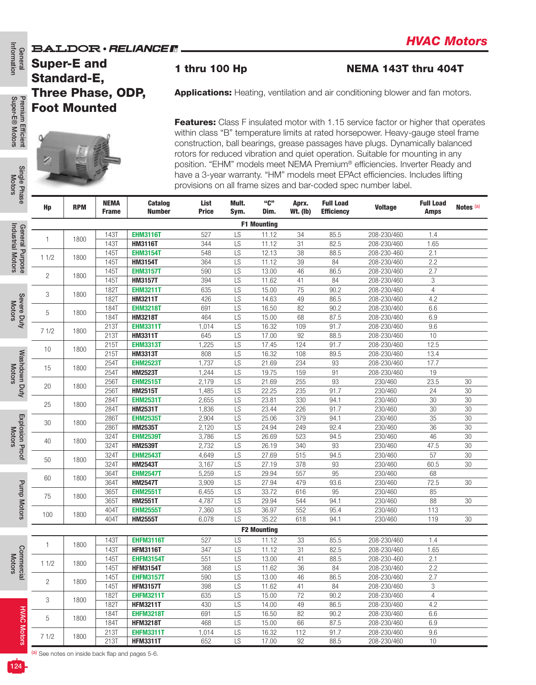#### **BALDOR** · RELIANCER



|                                   |                                                               |            |                             | BALDUR • RELIANGE II            |                      |               |                    |                          |                                       |                                                                                                                                                                                                                                                                                                                                                                                                                                                                                                                                                                                   |                          |                      |
|-----------------------------------|---------------------------------------------------------------|------------|-----------------------------|---------------------------------|----------------------|---------------|--------------------|--------------------------|---------------------------------------|-----------------------------------------------------------------------------------------------------------------------------------------------------------------------------------------------------------------------------------------------------------------------------------------------------------------------------------------------------------------------------------------------------------------------------------------------------------------------------------------------------------------------------------------------------------------------------------|--------------------------|----------------------|
| General                           | <b>Super-E and</b><br>Standard-E,<br><b>Three Phase, ODP,</b> |            |                             |                                 | 1 thru 100 Hp        |               |                    |                          |                                       | <b>NEMA 143T thru 404T</b>                                                                                                                                                                                                                                                                                                                                                                                                                                                                                                                                                        |                          |                      |
|                                   |                                                               |            |                             |                                 |                      |               |                    |                          |                                       | <b>Applications:</b> Heating, ventilation and air conditioning blower and fan motors.                                                                                                                                                                                                                                                                                                                                                                                                                                                                                             |                          |                      |
|                                   | <b>Foot Mounted</b>                                           |            |                             |                                 |                      |               |                    |                          |                                       |                                                                                                                                                                                                                                                                                                                                                                                                                                                                                                                                                                                   |                          |                      |
| Premium Efficient<br>Single Phase |                                                               |            |                             |                                 |                      |               |                    |                          |                                       | <b>Features:</b> Class F insulated motor with 1.15 service factor or higher that operates<br>within class "B" temperature limits at rated horsepower. Heavy-gauge steel frame<br>construction, ball bearings, grease passages have plugs. Dynamically balanced<br>rotors for reduced vibration and quiet operation. Suitable for mounting in any<br>position. "EHM" models meet NEMA Premium® efficiencies. Inverter Ready and<br>have a 3-year warranty. "HM" models meet EPAct efficiencies. Includes lifting<br>provisions on all frame sizes and bar-coded spec number label. |                          |                      |
|                                   | Hp                                                            | <b>RPM</b> | <b>NEMA</b><br><b>Frame</b> | <b>Catalog</b><br><b>Number</b> | List<br><b>Price</b> | Mult.<br>Sym. | "C"<br>Dim.        | Aprx.<br><b>Wt. (Ib)</b> | <b>Full Load</b><br><b>Efficiency</b> | <b>Voltage</b>                                                                                                                                                                                                                                                                                                                                                                                                                                                                                                                                                                    | <b>Full Load</b><br>Amps | Notes <sup>(a)</sup> |
|                                   |                                                               |            |                             |                                 |                      |               | <b>F1 Mounting</b> |                          |                                       |                                                                                                                                                                                                                                                                                                                                                                                                                                                                                                                                                                                   |                          |                      |
| General Purpose                   |                                                               |            | 143T                        | <b>EHM3116T</b>                 | 527                  | LS            | 11.12              | 34                       | 85.5                                  | 208-230/460                                                                                                                                                                                                                                                                                                                                                                                                                                                                                                                                                                       | 1.4                      |                      |
|                                   | 1                                                             | 1800       | 143T                        | <b>HM3116T</b>                  | 344                  | LS            | 11.12              | 31                       | 82.5                                  | 208-230/460                                                                                                                                                                                                                                                                                                                                                                                                                                                                                                                                                                       | 1.65                     |                      |
|                                   |                                                               |            | 145T                        | <b>EHM3154T</b>                 | 548                  | LS            | 12.13              | 38                       | 88.5                                  | 208-230-460                                                                                                                                                                                                                                                                                                                                                                                                                                                                                                                                                                       | 2.1                      |                      |
|                                   | 11/2                                                          | 1800       | 145T                        | <b>HM3154T</b>                  | 364                  | LS            | 11.12              | 39                       | 84                                    | 208-230/460                                                                                                                                                                                                                                                                                                                                                                                                                                                                                                                                                                       | 2.2                      |                      |
|                                   |                                                               |            | 145T                        | <b>EHM3157T</b>                 | 590                  | LS            | 13.00              | 46                       | 86.5                                  | 208-230/460                                                                                                                                                                                                                                                                                                                                                                                                                                                                                                                                                                       | 2.7                      |                      |
|                                   | $\overline{2}$                                                | 1800       | 145T                        | <b>HM3157T</b>                  | 394                  | LS            | 11.62              | 41                       | 84                                    | 208-230/460                                                                                                                                                                                                                                                                                                                                                                                                                                                                                                                                                                       | 3                        |                      |
|                                   |                                                               |            | 182T                        | <b>EHM3211T</b>                 | 635                  | LS            | 15.00              | 75                       | 90.2                                  | 208-230/460                                                                                                                                                                                                                                                                                                                                                                                                                                                                                                                                                                       | $\overline{4}$           |                      |
| Severe Duty                       | 3                                                             | 1800       | 182T                        | <b>HM3211T</b>                  | 426                  | LS            | 14.63              | 49                       | 86.5                                  | 208-230/460                                                                                                                                                                                                                                                                                                                                                                                                                                                                                                                                                                       | 4.2                      |                      |
|                                   | 5                                                             | 1800       | 184T                        | <b>EHM3218T</b>                 | 691                  | LS            | 16.50              | 82                       | 90.2                                  | 208-230/460                                                                                                                                                                                                                                                                                                                                                                                                                                                                                                                                                                       | 6.6                      |                      |
|                                   |                                                               |            | 184T                        | <b>HM3218T</b>                  | 464                  | LS            | 15.00              | 68                       | 87.5                                  | 208-230/460                                                                                                                                                                                                                                                                                                                                                                                                                                                                                                                                                                       | 6.9                      |                      |
|                                   | 71/2                                                          | 1800       | 213T                        | <b>EHM3311T</b>                 | 1,014                | LS            | 16.32              | 109                      | 91.7                                  | 208-230/460                                                                                                                                                                                                                                                                                                                                                                                                                                                                                                                                                                       | 9.6                      |                      |
|                                   |                                                               |            | 213T                        | <b>HM3311T</b>                  | 645                  | LS            | 17.00              | 92                       | 88.5                                  | 208-230/460                                                                                                                                                                                                                                                                                                                                                                                                                                                                                                                                                                       | 10                       |                      |
|                                   | 10                                                            | 1800       | 215T                        | <b>EHM3313T</b>                 | 1,225                | LS            | 17.45              | 124                      | 91.7                                  | 208-230/460                                                                                                                                                                                                                                                                                                                                                                                                                                                                                                                                                                       | 12.5                     |                      |
|                                   |                                                               |            | 215T                        | <b>HM3313T</b>                  | 808                  | LS            | 16.32              | 108                      | 89.5                                  | 208-230/460                                                                                                                                                                                                                                                                                                                                                                                                                                                                                                                                                                       | 13.4                     |                      |
|                                   | 15                                                            | 1800       | 254T                        | <b>EHM2523T</b>                 | 1,737                | LS            | 21.69              | 234                      | 93                                    | 208-230/460                                                                                                                                                                                                                                                                                                                                                                                                                                                                                                                                                                       | 17.7                     |                      |
|                                   |                                                               |            | 254T                        | <b>HM2523T</b>                  | 1,244                | LS            | 19.75              | 159                      | 91                                    | 208-230/460                                                                                                                                                                                                                                                                                                                                                                                                                                                                                                                                                                       | 19                       |                      |
|                                   | 20                                                            | 1800       | 256T                        | <b>EHM2515T</b>                 | 2,179                | LS            | 21.69              | 255                      | 93                                    | 230/460                                                                                                                                                                                                                                                                                                                                                                                                                                                                                                                                                                           | 23.5                     | 30                   |
| Washdown Duty                     |                                                               |            | 256T                        | <b>HM2515T</b>                  | 1,485                | LS            | 22.25              | 235                      | 91.7                                  | 230/460                                                                                                                                                                                                                                                                                                                                                                                                                                                                                                                                                                           | 24                       | 30                   |
|                                   | 25                                                            | 1800       | 284T                        | <b>EHM2531T</b>                 | 2,655                | LS            | 23.81              | 330                      | 94.1                                  | 230/460                                                                                                                                                                                                                                                                                                                                                                                                                                                                                                                                                                           | 30                       | 30                   |
|                                   |                                                               |            | 284T                        | <b>HM2531T</b>                  | 1,836                | LS            | 23.44              | 226                      | 91.7                                  | 230/460                                                                                                                                                                                                                                                                                                                                                                                                                                                                                                                                                                           | 30                       | 30                   |
| Explosion                         | 30                                                            | 1800       | 286T                        | <b>EHM2535T</b>                 | 2,904                | LS            | 25.06              | 379                      | 94.1                                  | 230/460                                                                                                                                                                                                                                                                                                                                                                                                                                                                                                                                                                           | 35                       | 30                   |
|                                   |                                                               |            | 286T                        | <b>HM2535T</b>                  | 2,120                | LS            | 24.94              | 249                      | 92.4                                  | 230/460                                                                                                                                                                                                                                                                                                                                                                                                                                                                                                                                                                           | 36                       | 30                   |
|                                   | 40                                                            | 1800       | 324T                        | <b>EHM2539T</b>                 | 3,786                | LS            | 26.69              | 523                      | 94.5                                  | 230/460                                                                                                                                                                                                                                                                                                                                                                                                                                                                                                                                                                           | 46                       | 30                   |
|                                   |                                                               |            | 324T                        | <b>HM2539T</b>                  | 2,732                | LS            | 26.19              | 340                      | 93                                    | 230/460                                                                                                                                                                                                                                                                                                                                                                                                                                                                                                                                                                           | 47.5                     | 30                   |
| Proof                             | 50                                                            | 1800       | 324T                        | <b>EHM2543T</b>                 | 4,649                | LS            | 27.69              | 515                      | 94.5                                  | 230/460                                                                                                                                                                                                                                                                                                                                                                                                                                                                                                                                                                           | 57                       | 30                   |
|                                   |                                                               |            | 324T                        | <b>HM2543T</b>                  | 3,167                | LS            | 27.19              | 378                      | 93                                    | 230/460                                                                                                                                                                                                                                                                                                                                                                                                                                                                                                                                                                           | 60.5                     | 30                   |
|                                   | 60                                                            | 1800       | 364T                        | <b>EHM2547T</b>                 | 5,259                | LS            | 29.94              | 557                      | 95                                    | 230/460                                                                                                                                                                                                                                                                                                                                                                                                                                                                                                                                                                           | 68                       |                      |
| <b>Pump Motors</b>                |                                                               |            | 364T                        | <b>HM2547T</b>                  | 3,909                | LS            | 27.94              | 479                      | 93.6                                  | 230/460                                                                                                                                                                                                                                                                                                                                                                                                                                                                                                                                                                           | 72.5                     | 30                   |
|                                   | 75                                                            | 1800       | 365T                        | <b>EHM2551T</b>                 | 6,455                | LS            | 33.72              | 616                      | 95                                    | 230/460                                                                                                                                                                                                                                                                                                                                                                                                                                                                                                                                                                           | 85                       |                      |
|                                   |                                                               |            | 365T                        | <b>HM2551T</b>                  | 4,787                | LS            | 29.94              | 544                      | 94.1                                  | 230/460                                                                                                                                                                                                                                                                                                                                                                                                                                                                                                                                                                           | 88                       | 30                   |
|                                   | 100                                                           | 1800       | 404T                        | <b>EHM2555T</b>                 | 7,360                | LS            | 36.97              | 552                      | 95.4                                  | 230/460                                                                                                                                                                                                                                                                                                                                                                                                                                                                                                                                                                           | 113                      |                      |
|                                   |                                                               |            | 404T                        | <b>HM2555T</b>                  | 6,078                | LS            | 35.22              | 618                      | 94.1                                  | 230/460                                                                                                                                                                                                                                                                                                                                                                                                                                                                                                                                                                           | 119                      | $30\,$               |
|                                   |                                                               |            |                             |                                 |                      |               | <b>F2 Mounting</b> |                          |                                       |                                                                                                                                                                                                                                                                                                                                                                                                                                                                                                                                                                                   |                          |                      |
|                                   | -1                                                            | 1800       | 143T                        | <b>EHFM3116T</b>                | 527                  | LS            | 11.12              | 33                       | 85.5                                  | 208-230/460                                                                                                                                                                                                                                                                                                                                                                                                                                                                                                                                                                       | 1.4                      |                      |
|                                   |                                                               |            | <b>143T</b>                 | <b>HFM3116T</b>                 | 347                  | LS            | 11.12              | 31                       | 82.5                                  | 208-230/460                                                                                                                                                                                                                                                                                                                                                                                                                                                                                                                                                                       | 1.65                     |                      |
| Commercial                        | 11/2                                                          | 1800       | 145T                        | <b>EHFM3154T</b>                | 551                  | LS            | 13.00              | 41                       | 88.5                                  | 208-230-460                                                                                                                                                                                                                                                                                                                                                                                                                                                                                                                                                                       | 2.1                      |                      |
|                                   |                                                               |            | 145T                        | <b>HFM3154T</b>                 | 368                  | LS            | 11.62              | 36                       | 84                                    | 208-230/460                                                                                                                                                                                                                                                                                                                                                                                                                                                                                                                                                                       | 2.2                      |                      |
|                                   | $\overline{c}$                                                | 1800       | 145T                        | <b>EHFM3157T</b>                | 590                  | LS            | 13.00              | 46                       | 86.5                                  | 208-230/460                                                                                                                                                                                                                                                                                                                                                                                                                                                                                                                                                                       | 2.7                      |                      |
|                                   |                                                               |            | 145T                        | <b>HFM3157T</b>                 | 398                  | LS            | 11.62              | 41                       | 84                                    | 208-230/460                                                                                                                                                                                                                                                                                                                                                                                                                                                                                                                                                                       | 3                        |                      |
|                                   | 3                                                             | 1800       | <b>182T</b>                 | <b>EHFM3211T</b>                | 635                  | LS            | 15.00              | 72                       | 90.2                                  | 208-230/460                                                                                                                                                                                                                                                                                                                                                                                                                                                                                                                                                                       | $\overline{4}$           |                      |
|                                   |                                                               |            | <b>182T</b>                 | <b>HFM3211T</b>                 | 430                  | LS            | $\overline{14.00}$ | 49                       | 86.5                                  | 208-230/460                                                                                                                                                                                                                                                                                                                                                                                                                                                                                                                                                                       | 4.2                      |                      |
|                                   | 5                                                             | 1800       | 184T                        | <b>EHFM3218T</b>                | 691                  | LS            | 16.50              | 82                       | 90.2                                  | 208-230/460                                                                                                                                                                                                                                                                                                                                                                                                                                                                                                                                                                       | 6.6                      |                      |
| <b>HVAC Motors</b>                |                                                               |            | 184T                        | <b>HFM3218T</b>                 | 468                  | LS            | 15.00              | 66                       | 87.5                                  | 208-230/460                                                                                                                                                                                                                                                                                                                                                                                                                                                                                                                                                                       | 6.9                      |                      |
|                                   | 71/2                                                          | 1800       | 213T                        | <b>EHFM3311T</b>                | 1,014                | LS            | 16.32              | 112                      | 91.7                                  | 208-230/460                                                                                                                                                                                                                                                                                                                                                                                                                                                                                                                                                                       | 9.6                      |                      |
|                                   |                                                               |            | 213T                        | <b>HFM3311T</b>                 | 652                  | LS            | 17.00              | 92                       | 88.5                                  | 208-230/460                                                                                                                                                                                                                                                                                                                                                                                                                                                                                                                                                                       | $10$                     |                      |

Premium Efficient<br>Super-E® Motors Super-E® Motors Premium Efficient

Information

**General**<br>Information

Single Phase Single Pha

Industrial Motors Industrial Motors

Motors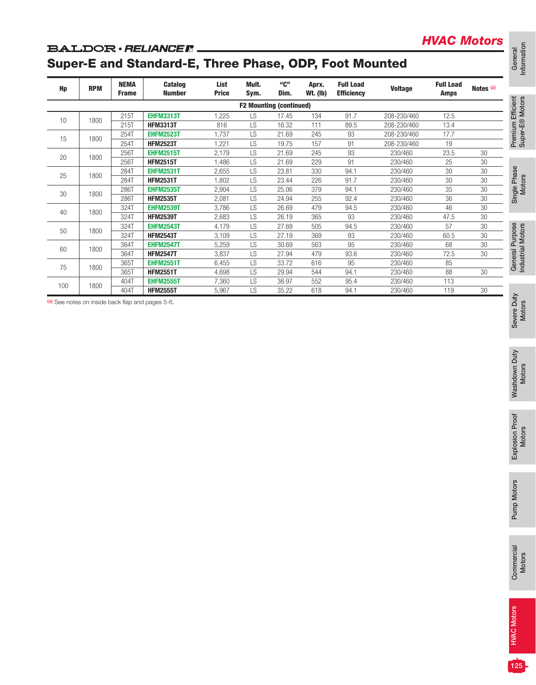#### **BALDOR** · RELIANCE R

## Super-E and Standard-E, Three Phase, ODP, Foot Mounted

| Hp | <b>RPM</b> | <b>NEMA</b><br><b>Frame</b> | <b>Catalog</b><br><b>Number</b>     | List<br><b>Price</b> | Mult.<br>Sym.                  | "C"<br>Dim.    | Aprx.<br><b>Wt. (Ib)</b> | <b>Full Load</b><br><b>Efficiency</b> | <b>Voltage</b>     | <b>Full Load</b><br>Amps | Notes (a)                 |
|----|------------|-----------------------------|-------------------------------------|----------------------|--------------------------------|----------------|--------------------------|---------------------------------------|--------------------|--------------------------|---------------------------|
|    |            |                             |                                     |                      | <b>F2 Mounting (continued)</b> |                |                          |                                       |                    |                          |                           |
|    | 1800       | 215T                        | <b>EHFM3313T</b>                    | 1,225                | LS                             | 17.45          | 134                      | 91.7                                  | 208-230/460        | 12.5                     |                           |
|    |            | 215T                        | <b>HFM3313T</b>                     | 816                  | LS                             | 16.32          | 111                      | 89.5                                  | 208-230/460        | 13.4                     |                           |
|    | 1800       | 254T                        | <b>EHFM2523T</b>                    | 1,737                | LS                             | 21.69          | 245                      | 93                                    | 208-230/460        | 17.7                     |                           |
|    |            | 254T                        | <b>HFM2523T</b>                     | 1,221                | LS                             | 19.75          | 157                      | 91                                    | 208-230/460        | 19                       |                           |
|    | 1800       | 256T                        | <b>EHFM2515T</b>                    | 2,179                | LS                             | 21.69          | 245                      | 93                                    | 230/460            | 23.5                     | 30                        |
|    |            | 256T<br>284T                | <b>HFM2515T</b><br><b>EHFM2531T</b> | 1,486<br>2,655       | LS<br>LS                       | 21.69<br>23.81 | 229<br>330               | 91<br>94.1                            | 230/460<br>230/460 | 25<br>$\overline{30}$    | $30\,$<br>$\overline{30}$ |
|    | 1800       | 284T                        | <b>HFM2531T</b>                     | 1,802                | LS                             | 23.44          | 226                      | 91.7                                  | 230/460            | $30\,$                   | $30\,$                    |
|    |            | 286T                        | <b>EHFM2535T</b>                    | 2,904                | LS                             | 25.06          | 379                      | 94.1                                  | 230/460            | 35                       | $30\,$                    |
|    | 1800       | 286T                        | <b>HFM2535T</b>                     | 2,081                | LS                             | 24.94          | 255                      | 92.4                                  | 230/460            | 36                       | $30\,$                    |
|    | 1800       | 324T                        | <b>EHFM2539T</b>                    | 3,786                | LS                             | 26.69          | 479                      | 94.5                                  | 230/460            | 46                       | 30                        |
|    |            | 324T                        | <b>HFM2539T</b>                     | 2,683                | LS                             | 26.19          | 365                      | 93                                    | 230/460            | 47.5                     | $30\,$                    |
|    | 1800       | 324T                        | <b>EHFM2543T</b>                    | 4,179                | LS                             | 27.69          | 505                      | 94.5                                  | 230/460            | 57                       | $30\,$                    |
|    |            | 324T                        | <b>HFM2543T</b>                     | 3,109                | LS                             | 27.19          | 369                      | 93                                    | 230/460            | 60.5                     | $30\,$                    |
|    | 1800       | 364T                        | <b>EHFM2547T</b>                    | 5,259                | LS                             | 30.69          | 563                      | 95                                    | 230/460            | 68                       | 30                        |
|    |            | 364T<br>365T                | <b>HFM2547T</b><br><b>EHFM2551T</b> | 3,837<br>6,455       | LS<br>LS                       | 27.94<br>33.72 | 479<br>616               | 93.6<br>95                            | 230/460<br>230/460 | 72.5<br>85               | $30\,$                    |
|    | 1800       | 365T                        | <b>HFM2551T</b>                     | 4,698                | LS                             | 29.94          | 544                      | 94.1                                  | 230/460            | 88                       | $30\,$                    |
|    |            | 404T                        | <b>EHFM2555T</b>                    | 7,360                | LS                             | 36.97          | 552                      | 95.4                                  | 230/460            | 113                      |                           |
|    | 1800       | 404T                        | <b>HFM2555T</b>                     | 5,967                | LS                             | 35.22          | 618                      | 94.1                                  | 230/460            | 119                      | $30\,$                    |
|    |            |                             |                                     |                      |                                |                |                          |                                       |                    |                          |                           |
|    |            |                             |                                     |                      |                                |                |                          |                                       |                    |                          |                           |
|    |            |                             |                                     |                      |                                |                |                          |                                       |                    |                          |                           |
|    |            |                             |                                     |                      |                                |                |                          |                                       |                    |                          |                           |
|    |            |                             |                                     |                      |                                |                |                          |                                       |                    |                          |                           |

Information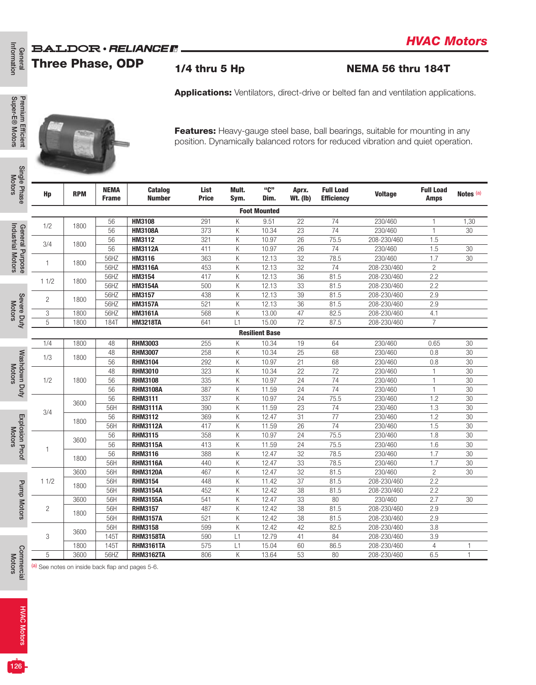## **BALDOR · RELIANCER**

General<br>Information Information Three Phase, ODP

## 1/4 thru 5 Hp NEMA 56 thru 184T

*HVAC Motors*





| <b>NEMA</b><br><b>Catalog</b><br><b>Number</b><br><b>Frame</b><br>HM3108<br>56<br>56<br><b>HM3108A</b><br>56<br>HM3112<br>56<br><b>HM3112A</b><br>56HZ<br>HM3116<br>56HZ<br><b>HM3116A</b><br>56HZ<br>HM3154<br>56HZ<br><b>HM3154A</b><br>56HZ<br>HM3157<br>56HZ<br><b>HM3157A</b><br>56HZ<br><b>HM3161A</b><br><b>184T</b><br><b>HM3218TA</b><br><b>RHM3003</b><br>48<br><b>RHM3007</b><br>48<br>56<br><b>RHM3104</b> | List<br><b>Price</b><br>291<br>373<br>321<br>411<br>363<br>453<br>417<br>500<br>438<br>521<br>568<br>641<br>255<br>258                                                      | Mult.<br>Sym.<br>Κ<br>K<br>Κ<br>K<br>K<br>K<br>Κ<br>Κ<br>Κ<br>Κ<br>Κ<br>L1 | "C"<br>Dim.<br><b>Foot Mounted</b><br>9.51<br>10.34<br>10.97<br>10.97<br>12.13<br>12.13<br>12.13<br>12.13<br>12.13<br>12.13<br>13.00<br>15.00 | Aprx.<br><b>Wt. (Ib)</b><br>22<br>23<br>26<br>26<br>32<br>32<br>36<br>33<br>39<br>36<br>47 | <b>Full Load</b><br><b>Efficiency</b><br>74<br>74<br>75.5<br>74<br>78.5<br>74<br>81.5<br>81.5<br>81.5<br>81.5 | <b>Applications:</b> Ventilators, direct-drive or belted fan and ventilation applications.<br>Features: Heavy-gauge steel base, ball bearings, suitable for mounting in any<br>position. Dynamically balanced rotors for reduced vibration and quiet operation.<br><b>Voltage</b><br>230/460<br>230/460<br>208-230/460<br>230/460<br>230/460<br>208-230/460<br>208-230/460<br>208-230/460<br>208-230/460<br>208-230/460 | <b>Full Load</b><br><b>Amps</b><br>1<br>$\mathbf{1}$<br>1.5<br>1.5<br>1.7<br>$\overline{c}$<br>2.2<br>2.2 | Notes <sup>(a)</sup><br>1,30<br>30<br>30<br>30    |
|------------------------------------------------------------------------------------------------------------------------------------------------------------------------------------------------------------------------------------------------------------------------------------------------------------------------------------------------------------------------------------------------------------------------|-----------------------------------------------------------------------------------------------------------------------------------------------------------------------------|----------------------------------------------------------------------------|-----------------------------------------------------------------------------------------------------------------------------------------------|--------------------------------------------------------------------------------------------|---------------------------------------------------------------------------------------------------------------|-------------------------------------------------------------------------------------------------------------------------------------------------------------------------------------------------------------------------------------------------------------------------------------------------------------------------------------------------------------------------------------------------------------------------|-----------------------------------------------------------------------------------------------------------|---------------------------------------------------|
|                                                                                                                                                                                                                                                                                                                                                                                                                        |                                                                                                                                                                             |                                                                            |                                                                                                                                               |                                                                                            |                                                                                                               |                                                                                                                                                                                                                                                                                                                                                                                                                         |                                                                                                           |                                                   |
|                                                                                                                                                                                                                                                                                                                                                                                                                        |                                                                                                                                                                             |                                                                            |                                                                                                                                               |                                                                                            |                                                                                                               |                                                                                                                                                                                                                                                                                                                                                                                                                         |                                                                                                           |                                                   |
|                                                                                                                                                                                                                                                                                                                                                                                                                        |                                                                                                                                                                             |                                                                            |                                                                                                                                               |                                                                                            |                                                                                                               |                                                                                                                                                                                                                                                                                                                                                                                                                         |                                                                                                           |                                                   |
|                                                                                                                                                                                                                                                                                                                                                                                                                        |                                                                                                                                                                             |                                                                            |                                                                                                                                               |                                                                                            |                                                                                                               |                                                                                                                                                                                                                                                                                                                                                                                                                         |                                                                                                           |                                                   |
|                                                                                                                                                                                                                                                                                                                                                                                                                        |                                                                                                                                                                             |                                                                            |                                                                                                                                               |                                                                                            |                                                                                                               |                                                                                                                                                                                                                                                                                                                                                                                                                         |                                                                                                           |                                                   |
|                                                                                                                                                                                                                                                                                                                                                                                                                        |                                                                                                                                                                             |                                                                            |                                                                                                                                               |                                                                                            |                                                                                                               |                                                                                                                                                                                                                                                                                                                                                                                                                         |                                                                                                           |                                                   |
|                                                                                                                                                                                                                                                                                                                                                                                                                        |                                                                                                                                                                             |                                                                            |                                                                                                                                               |                                                                                            |                                                                                                               |                                                                                                                                                                                                                                                                                                                                                                                                                         |                                                                                                           |                                                   |
|                                                                                                                                                                                                                                                                                                                                                                                                                        |                                                                                                                                                                             |                                                                            |                                                                                                                                               |                                                                                            |                                                                                                               |                                                                                                                                                                                                                                                                                                                                                                                                                         |                                                                                                           |                                                   |
|                                                                                                                                                                                                                                                                                                                                                                                                                        |                                                                                                                                                                             |                                                                            |                                                                                                                                               |                                                                                            |                                                                                                               |                                                                                                                                                                                                                                                                                                                                                                                                                         |                                                                                                           |                                                   |
|                                                                                                                                                                                                                                                                                                                                                                                                                        |                                                                                                                                                                             |                                                                            |                                                                                                                                               |                                                                                            |                                                                                                               |                                                                                                                                                                                                                                                                                                                                                                                                                         |                                                                                                           |                                                   |
|                                                                                                                                                                                                                                                                                                                                                                                                                        |                                                                                                                                                                             |                                                                            |                                                                                                                                               |                                                                                            |                                                                                                               |                                                                                                                                                                                                                                                                                                                                                                                                                         |                                                                                                           |                                                   |
|                                                                                                                                                                                                                                                                                                                                                                                                                        |                                                                                                                                                                             |                                                                            |                                                                                                                                               |                                                                                            |                                                                                                               |                                                                                                                                                                                                                                                                                                                                                                                                                         |                                                                                                           |                                                   |
|                                                                                                                                                                                                                                                                                                                                                                                                                        |                                                                                                                                                                             |                                                                            |                                                                                                                                               |                                                                                            |                                                                                                               |                                                                                                                                                                                                                                                                                                                                                                                                                         |                                                                                                           |                                                   |
|                                                                                                                                                                                                                                                                                                                                                                                                                        |                                                                                                                                                                             |                                                                            |                                                                                                                                               |                                                                                            |                                                                                                               |                                                                                                                                                                                                                                                                                                                                                                                                                         | 2.9                                                                                                       |                                                   |
|                                                                                                                                                                                                                                                                                                                                                                                                                        |                                                                                                                                                                             |                                                                            |                                                                                                                                               |                                                                                            |                                                                                                               |                                                                                                                                                                                                                                                                                                                                                                                                                         | 2.9                                                                                                       |                                                   |
|                                                                                                                                                                                                                                                                                                                                                                                                                        |                                                                                                                                                                             |                                                                            |                                                                                                                                               |                                                                                            | 82.5                                                                                                          | 208-230/460                                                                                                                                                                                                                                                                                                                                                                                                             | 4.1                                                                                                       |                                                   |
|                                                                                                                                                                                                                                                                                                                                                                                                                        |                                                                                                                                                                             |                                                                            |                                                                                                                                               | 72                                                                                         | 87.5                                                                                                          | 208-230/460                                                                                                                                                                                                                                                                                                                                                                                                             | $\overline{7}$                                                                                            |                                                   |
|                                                                                                                                                                                                                                                                                                                                                                                                                        |                                                                                                                                                                             |                                                                            | <b>Resilient Base</b>                                                                                                                         |                                                                                            |                                                                                                               |                                                                                                                                                                                                                                                                                                                                                                                                                         |                                                                                                           |                                                   |
|                                                                                                                                                                                                                                                                                                                                                                                                                        |                                                                                                                                                                             | Κ                                                                          | 10.34                                                                                                                                         | 19                                                                                         | 64                                                                                                            | 230/460                                                                                                                                                                                                                                                                                                                                                                                                                 | 0.65                                                                                                      | 30                                                |
|                                                                                                                                                                                                                                                                                                                                                                                                                        |                                                                                                                                                                             | Κ                                                                          | 10.34                                                                                                                                         | 25                                                                                         | 68                                                                                                            | 230/460                                                                                                                                                                                                                                                                                                                                                                                                                 | 0.8                                                                                                       | 30                                                |
|                                                                                                                                                                                                                                                                                                                                                                                                                        | 292                                                                                                                                                                         | Κ                                                                          | 10.97                                                                                                                                         | 21                                                                                         | 68                                                                                                            | 230/460                                                                                                                                                                                                                                                                                                                                                                                                                 | 0.8                                                                                                       | 30                                                |
| <b>RHM3010</b><br>48                                                                                                                                                                                                                                                                                                                                                                                                   | 323                                                                                                                                                                         | Κ                                                                          | 10.34                                                                                                                                         | 22                                                                                         | 72                                                                                                            | 230/460                                                                                                                                                                                                                                                                                                                                                                                                                 | $\mathbf{1}$                                                                                              | 30                                                |
| 56<br><b>RHM3108</b>                                                                                                                                                                                                                                                                                                                                                                                                   | 335                                                                                                                                                                         | K                                                                          | 10.97                                                                                                                                         | 24                                                                                         | 74                                                                                                            | 230/460                                                                                                                                                                                                                                                                                                                                                                                                                 | $\mathbf{1}$                                                                                              | 30                                                |
| 56<br><b>RHM3108A</b>                                                                                                                                                                                                                                                                                                                                                                                                  | 387                                                                                                                                                                         | Κ                                                                          | 11.59                                                                                                                                         | 24                                                                                         | 74                                                                                                            | 230/460                                                                                                                                                                                                                                                                                                                                                                                                                 | $\mathbf{1}$                                                                                              | 30                                                |
| 56<br><b>RHM3111</b><br><b>RHM3111A</b>                                                                                                                                                                                                                                                                                                                                                                                | 337                                                                                                                                                                         | K                                                                          | 10.97                                                                                                                                         | 24                                                                                         | 75.5                                                                                                          | 230/460                                                                                                                                                                                                                                                                                                                                                                                                                 | 1.2                                                                                                       | 30                                                |
| 56H<br>56                                                                                                                                                                                                                                                                                                                                                                                                              | 390                                                                                                                                                                         | Κ<br>Κ                                                                     | 11.59                                                                                                                                         | 23<br>31                                                                                   | 74<br>77                                                                                                      | 230/460                                                                                                                                                                                                                                                                                                                                                                                                                 | 1.3                                                                                                       | 30                                                |
| <b>RHM3112</b><br>56H<br><b>RHM3112A</b>                                                                                                                                                                                                                                                                                                                                                                               | 369<br>417                                                                                                                                                                  | Κ                                                                          | 12.47<br>11.59                                                                                                                                | 26                                                                                         | $74$                                                                                                          | 230/460<br>230/460                                                                                                                                                                                                                                                                                                                                                                                                      | 1.2<br>1.5                                                                                                | 30<br>30                                          |
| 56<br><b>RHM3115</b>                                                                                                                                                                                                                                                                                                                                                                                                   | 358                                                                                                                                                                         | Κ                                                                          | 10.97                                                                                                                                         | 24                                                                                         | 75.5                                                                                                          | 230/460                                                                                                                                                                                                                                                                                                                                                                                                                 | 1.8                                                                                                       | 30                                                |
| 56<br><b>RHM3115A</b>                                                                                                                                                                                                                                                                                                                                                                                                  | 413                                                                                                                                                                         | Κ                                                                          | 11.59                                                                                                                                         | 24                                                                                         | 75.5                                                                                                          | 230/460                                                                                                                                                                                                                                                                                                                                                                                                                 | 1.6                                                                                                       | 30                                                |
| 56<br><b>RHM3116</b>                                                                                                                                                                                                                                                                                                                                                                                                   | 388                                                                                                                                                                         | Κ                                                                          | 12.47                                                                                                                                         | 32                                                                                         | 78.5                                                                                                          | 230/460                                                                                                                                                                                                                                                                                                                                                                                                                 | 1.7                                                                                                       | 30                                                |
| 56H<br><b>RHM3116A</b>                                                                                                                                                                                                                                                                                                                                                                                                 | 440                                                                                                                                                                         | Κ                                                                          | 12.47                                                                                                                                         | 33                                                                                         | 78.5                                                                                                          | 230/460                                                                                                                                                                                                                                                                                                                                                                                                                 | 1.7                                                                                                       | 30                                                |
| 56H<br><b>RHM3120A</b>                                                                                                                                                                                                                                                                                                                                                                                                 | 467                                                                                                                                                                         | Κ                                                                          | 12.47                                                                                                                                         | 32                                                                                         | 81.5                                                                                                          | 230/460                                                                                                                                                                                                                                                                                                                                                                                                                 | $\sqrt{2}$                                                                                                | 30                                                |
| 56H<br><b>RHM3154</b>                                                                                                                                                                                                                                                                                                                                                                                                  | 448                                                                                                                                                                         | Κ                                                                          | 11.42                                                                                                                                         | 37                                                                                         | 81.5                                                                                                          | 208-230/460                                                                                                                                                                                                                                                                                                                                                                                                             | 2.2                                                                                                       |                                                   |
| 56H<br><b>RHM3154A</b>                                                                                                                                                                                                                                                                                                                                                                                                 | 452                                                                                                                                                                         | Κ                                                                          | 12.42                                                                                                                                         | 38                                                                                         | 81.5                                                                                                          | 208-230/460                                                                                                                                                                                                                                                                                                                                                                                                             | 2.2                                                                                                       |                                                   |
| 56H<br><b>RHM3155A</b>                                                                                                                                                                                                                                                                                                                                                                                                 | 541                                                                                                                                                                         | Κ                                                                          | 12.47                                                                                                                                         | 33                                                                                         | $80\,$                                                                                                        | 230/460                                                                                                                                                                                                                                                                                                                                                                                                                 | 2.7                                                                                                       | 30                                                |
| 56H<br><b>RHM3157</b>                                                                                                                                                                                                                                                                                                                                                                                                  | 487                                                                                                                                                                         | Κ                                                                          | 12.42                                                                                                                                         | 38                                                                                         |                                                                                                               | 208-230/460                                                                                                                                                                                                                                                                                                                                                                                                             |                                                                                                           |                                                   |
| 56H<br><b>RHM3157A</b>                                                                                                                                                                                                                                                                                                                                                                                                 | 521                                                                                                                                                                         | Κ                                                                          | 12.42                                                                                                                                         | 38                                                                                         |                                                                                                               | 208-230/460                                                                                                                                                                                                                                                                                                                                                                                                             |                                                                                                           |                                                   |
|                                                                                                                                                                                                                                                                                                                                                                                                                        |                                                                                                                                                                             |                                                                            |                                                                                                                                               |                                                                                            |                                                                                                               |                                                                                                                                                                                                                                                                                                                                                                                                                         |                                                                                                           |                                                   |
|                                                                                                                                                                                                                                                                                                                                                                                                                        |                                                                                                                                                                             |                                                                            |                                                                                                                                               |                                                                                            |                                                                                                               |                                                                                                                                                                                                                                                                                                                                                                                                                         |                                                                                                           |                                                   |
|                                                                                                                                                                                                                                                                                                                                                                                                                        |                                                                                                                                                                             |                                                                            |                                                                                                                                               |                                                                                            |                                                                                                               |                                                                                                                                                                                                                                                                                                                                                                                                                         |                                                                                                           | 1                                                 |
|                                                                                                                                                                                                                                                                                                                                                                                                                        |                                                                                                                                                                             |                                                                            |                                                                                                                                               |                                                                                            |                                                                                                               |                                                                                                                                                                                                                                                                                                                                                                                                                         |                                                                                                           | $\mathbf{1}$                                      |
|                                                                                                                                                                                                                                                                                                                                                                                                                        | 56H<br><b>RHM3158</b><br><b>145T</b><br><b>RHM3158TA</b><br><b>145T</b><br><b>RHM3161TA</b><br>56HZ<br><b>RHM3162TA</b><br>(a) See notes on inside back flap and pages 5-6. | 599<br>590<br>575<br>806                                                   | Κ<br>L1<br>L1<br>Κ                                                                                                                            | 12.42<br>12.79<br>15.04<br>13.64                                                           | 42<br>41<br>60<br>53                                                                                          | 81.5<br>81.5<br>82.5<br>84<br>86.5<br>80                                                                                                                                                                                                                                                                                                                                                                                | 208-230/460<br>208-230/460<br>208-230/460<br>208-230/460                                                  | 2.9<br>2.9<br>3.8<br>3.9<br>$\overline{4}$<br>6.5 |

HVAC Motors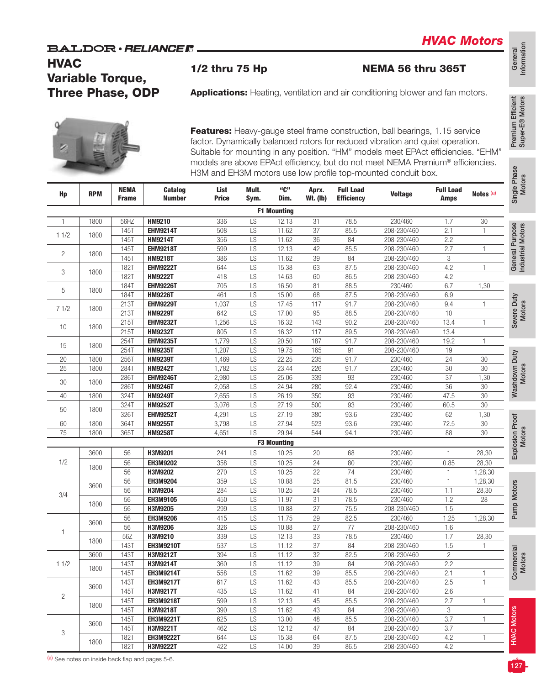## **HVAC** Variable Torque, Three Phase, ODP



| <b>HVAC</b>    | <b>Variable Torque,</b><br><b>Three Phase, ODP</b> |              | BALDOR • <i>RELIANCE I</i> I      | 1/2 thru 75 Hp |          |                    |                 |                   | <b>NEMA 56 thru 365T</b><br><b>Applications:</b> Heating, ventilation and air conditioning blower and fan motors.                                                                                                                                  |                  |                      | General<br>Informatio                |
|----------------|----------------------------------------------------|--------------|-----------------------------------|----------------|----------|--------------------|-----------------|-------------------|----------------------------------------------------------------------------------------------------------------------------------------------------------------------------------------------------------------------------------------------------|------------------|----------------------|--------------------------------------|
|                |                                                    |              |                                   |                |          |                    |                 |                   | Features: Heavy-gauge steel frame construction, ball bearings, 1.15 service<br>factor. Dynamically balanced rotors for reduced vibration and quiet operation.<br>Suitable for mounting in any position. "HM" models meet EPAct efficiencies. "EHM" |                  |                      | Premium Efficient<br>Super-E® Motors |
| Hp             | <b>RPM</b>                                         | <b>NEMA</b>  | <b>Catalog</b>                    | List           | Mult.    | "C"                | Aprx.           | <b>Full Load</b>  | models are above EPAct efficiency, but do not meet NEMA Premium® efficiencies.<br>H3M and EH3M motors use low profile top-mounted conduit box.<br><b>Voltage</b>                                                                                   | <b>Full Load</b> | Notes <sup>(a)</sup> | Single Phase<br>Motors               |
|                |                                                    | <b>Frame</b> | <b>Number</b>                     | <b>Price</b>   | Sym.     | Dim.               | <b>Wt. (Ib)</b> | <b>Efficiency</b> |                                                                                                                                                                                                                                                    | <b>Amps</b>      |                      |                                      |
|                |                                                    |              |                                   |                |          | <b>F1 Mounting</b> |                 |                   |                                                                                                                                                                                                                                                    |                  |                      |                                      |
| $\mathbf{1}$   | 1800                                               | 56HZ         | <b>HM9210</b>                     | 336            | LS       | 12.13              | 31              | 78.5              | 230/460                                                                                                                                                                                                                                            | 1.7              | $30\,$               |                                      |
| 11/2           | 1800                                               | 145T         | <b>EHM9214T</b>                   | 508            | LS       | 11.62              | 37              | 85.5              | 208-230/460                                                                                                                                                                                                                                        | 2.1              | 1                    | General Purpose<br>Industrial Motors |
|                |                                                    | 145T         | <b>HM9214T</b><br><b>EHM9218T</b> | 356<br>599     | LS       | 11.62<br>12.13     | 36<br>42        | 84                | 208-230/460                                                                                                                                                                                                                                        | 2.2<br>2.7       | 1                    |                                      |
| $\overline{c}$ | 1800                                               | 145T<br>145T | <b>HM9218T</b>                    | 386            | LS<br>LS | 11.62              | 39              | 85.5<br>84        | 208-230/460<br>208-230/460                                                                                                                                                                                                                         | 3                |                      |                                      |
|                |                                                    | <b>182T</b>  | <b>EHM9222T</b>                   | 644            | LS       | 15.38              | 63              | 87.5              | 208-230/460                                                                                                                                                                                                                                        | 4.2              |                      |                                      |
| 3              | 1800                                               | 182T         | <b>HM9222T</b>                    | 418            | LS       | 14.63              | 60              | 86.5              | 208-230/460                                                                                                                                                                                                                                        | 4.2              |                      |                                      |
|                |                                                    | 184T         | <b>EHM9226T</b>                   | 705            | LS       | 16.50              | 81              | 88.5              | 230/460                                                                                                                                                                                                                                            | 6.7              | 1,30                 |                                      |
| 5              | 1800                                               | 184T         | <b>HM9226T</b>                    | 461            | LS       | 15.00              | 68              | 87.5              | 208-230/460                                                                                                                                                                                                                                        | 6.9              |                      |                                      |
|                |                                                    | 213T         | <b>EHM9229T</b>                   | 1,037          | LS       | 17.45              | 117             | 91.7              | 208-230/460                                                                                                                                                                                                                                        | 9.4              |                      | Severe Duty<br>Motors                |
| 71/2           | 1800                                               | 213T         | <b>HM9229T</b>                    | 642            | LS       | 17.00              | 95              | 88.5              | 208-230/460                                                                                                                                                                                                                                        | 10               |                      |                                      |
|                |                                                    | 215T         | <b>EHM9232T</b>                   | 1,256          | LS       | 16.32              | 143             | 90.2              | 208-230/460                                                                                                                                                                                                                                        | 13.4             | $\mathbf{1}$         |                                      |
| 10             | 1800                                               | 215T         | <b>HM9232T</b>                    | 805            | LS       | 16.32              | 117             | 89.5              | 208-230/460                                                                                                                                                                                                                                        | 13.4             |                      |                                      |
|                |                                                    | 254T         | <b>EHM9235T</b>                   | 1,779          | LS       | 20.50              | 187             | 91.7              | 208-230/460                                                                                                                                                                                                                                        | 19.2             | 1                    |                                      |
| 15             | 1800                                               | 254T         | <b>HM9235T</b>                    | 1,207          | LS       | 19.75              | 165             | 91                | 208-230/460                                                                                                                                                                                                                                        | 19               |                      |                                      |
| 20             | 1800                                               | 256T         | <b>HM9239T</b>                    | 1,469          | LS       | 22.25              | 235             | 91.7              | 230/460                                                                                                                                                                                                                                            | 24               | 30                   |                                      |
| 25             | 1800                                               | 284T         | <b>HM9242T</b>                    | 1,782          | LS       | 23.44              | 226             | 91.7              | 230/460                                                                                                                                                                                                                                            | 30               | 30                   | Washdown Duty<br>Motors              |
|                |                                                    | 286T         | <b>EHM9246T</b>                   | 2,980          | LS       | 25.06              | 339             | 93                | 230/460                                                                                                                                                                                                                                            | 37               | 1,30                 |                                      |
| 30             | 1800                                               | 286T         | <b>HM9246T</b>                    | 2,058          | LS       | 24.94              | 280             | 92.4              | 230/460                                                                                                                                                                                                                                            | 36               | $30\,$               |                                      |
| 40             | 1800                                               | 324T         | <b>HM9249T</b>                    | 2,655          | LS       | 26.19              | 350             | 93                | 230/460                                                                                                                                                                                                                                            | 47.5             | 30                   |                                      |
|                |                                                    | 324T         | <b>HM9252T</b>                    | 3,076          | LS       | 27.19              | 500             | 93                | 230/460                                                                                                                                                                                                                                            | 60.5             | 30                   |                                      |
| 50             | 1800                                               | 326T         | <b>EHM9252T</b>                   | 4,291          | LS       | 27.19              | 380             | 93.6              | 230/460                                                                                                                                                                                                                                            | 62               | 1,30                 |                                      |
| 60             | 1800                                               | 364T         | <b>HM9255T</b>                    | 3,798          | LS       | 27.94              | 523             | 93.6              | 230/460                                                                                                                                                                                                                                            | 72.5             | $30\,$               |                                      |
| 75             | 1800                                               | 365T         | <b>HM9258T</b>                    | 4,651          | LS       | 29.94              | 544             | 94.1              | 230/460                                                                                                                                                                                                                                            | 88               | 30                   | Explosion Proof<br>Motors            |
|                |                                                    |              |                                   |                |          | <b>F3 Mounting</b> |                 |                   |                                                                                                                                                                                                                                                    |                  |                      |                                      |
|                | 3600                                               | 56           | H3M9201                           | 241            | LS       | 10.25              | 20              | 68                | 230/460                                                                                                                                                                                                                                            | $\mathbf{1}$     | 28,30                |                                      |
| 1/2            |                                                    | 56           | EH3M9202                          | 358            | LS       | 10.25              | 24              | 80                | 230/460                                                                                                                                                                                                                                            | 0.85             | 28,30                |                                      |
|                | 1800                                               | 56           | H3M9202                           | 270            | LS       | 10.25              | 22              | 74                | 230/460                                                                                                                                                                                                                                            | 1                | 1,28,30              |                                      |
|                |                                                    | 56           | EH3M9204                          | 359            | LS       | 10.88              | 25              | 81.5              | 230/460                                                                                                                                                                                                                                            | $\mathbf{1}$     | 1,28,30              |                                      |
|                | 3600                                               | 56           | H3M9204                           | 284            | LS       | 10.25              | 24              | 78.5              | 230/460                                                                                                                                                                                                                                            | 1.1              | 28,30                |                                      |
| 3/4            |                                                    | 56           | EH3M9105                          | 450            | LS       | 11.97              | 31              | 78.5              | 230/460                                                                                                                                                                                                                                            | 1.2              | 28                   |                                      |
|                | 1800                                               | 56           | H3M9205                           | 299            | LS       | 10.88              | 27              | 75.5              | 208-230/460                                                                                                                                                                                                                                        | 1.5              |                      | Pump Motors                          |
|                |                                                    | 56           | <b>EH3M9206</b>                   | 415            | LS       | 11.75              | 29              | 82.5              | 230/460                                                                                                                                                                                                                                            | 1.25             | 1,28,30              |                                      |
|                | 3600                                               | 56           | H3M9206                           | 326            | LS       | 10.88              | 27              | 77                | 208-230/460                                                                                                                                                                                                                                        | 1.6              |                      |                                      |
| 1              |                                                    | 56Z          | H3M9210                           | 339            | LS       | 12.13              | 33              | 78.5              | 230/460                                                                                                                                                                                                                                            | 1.7              | 28,30                |                                      |
|                | 1800                                               | 143T         | <b>EH3M9210T</b>                  | 537            | LS       | 11.12              | 37              | 84                | 208-230/460                                                                                                                                                                                                                                        | 1.5              |                      |                                      |
|                | 3600                                               | 143T         | H3M9212T                          | 394            | LS       | 11.12              | 32              | 82.5              | 208-230/460                                                                                                                                                                                                                                        | $\overline{c}$   |                      |                                      |
| 11/2           | 1800                                               | 143T         | H3M9214T                          | 360            | LS       | 11.12              | 39              | 84                | 208-230/460                                                                                                                                                                                                                                        | 2.2              |                      |                                      |
|                |                                                    | 145T         | <b>EH3M9214T</b>                  | 558            | LS       | 11.62              | 39              | 85.5              | 208-230/460                                                                                                                                                                                                                                        | 2.1              | 1                    | Commercial<br>Motors                 |
|                | 3600                                               | 143T         | <b>EH3M9217T</b>                  | 617            | LS       | 11.62              | 43              | 85.5              | 208-230/460                                                                                                                                                                                                                                        | 2.5              | 1                    |                                      |
| $\overline{c}$ |                                                    | 145T         | H3M9217T                          | 435            | LS       | 11.62              | 41              | 84                | 208-230/460                                                                                                                                                                                                                                        | 2.6              |                      |                                      |
|                | 1800                                               | 145T         | <b>EH3M9218T</b>                  | 599            | LS       | 12.13              | 45              | 85.5              | 208-230/460                                                                                                                                                                                                                                        | 2.7              | $\mathbf{1}$         |                                      |
|                |                                                    | <b>145T</b>  | H3M9218T                          | 390            | LS       | 11.62              | 43              | 84                | 208-230/460                                                                                                                                                                                                                                        | 3                |                      |                                      |
|                | 3600                                               | <b>145T</b>  | <b>EH3M9221T</b>                  | 625            | LS       | 13.00              | 48              | 85.5              | 208-230/460                                                                                                                                                                                                                                        | 3.7              |                      |                                      |
| 3              |                                                    | 145T         | H3M9221T                          | 462            | LS       | 12.12              | 47              | 84                | 208-230/460                                                                                                                                                                                                                                        | 3.7              |                      | <b>HVAC Motors</b>                   |
|                | 1800                                               | <b>182T</b>  | <b>EH3M9222T</b>                  | 644            | LS       | 15.38              | 64              | 87.5              | 208-230/460                                                                                                                                                                                                                                        | 4.2              | $\mathbf{1}$         |                                      |
|                |                                                    | <b>182T</b>  | H3M9222T                          | 422            | LS       | 14.00              | 39              | 86.5              | 208-230/460                                                                                                                                                                                                                                        | 4.2              |                      |                                      |

General<br>Information Information

Industrial Motors Industrial Motors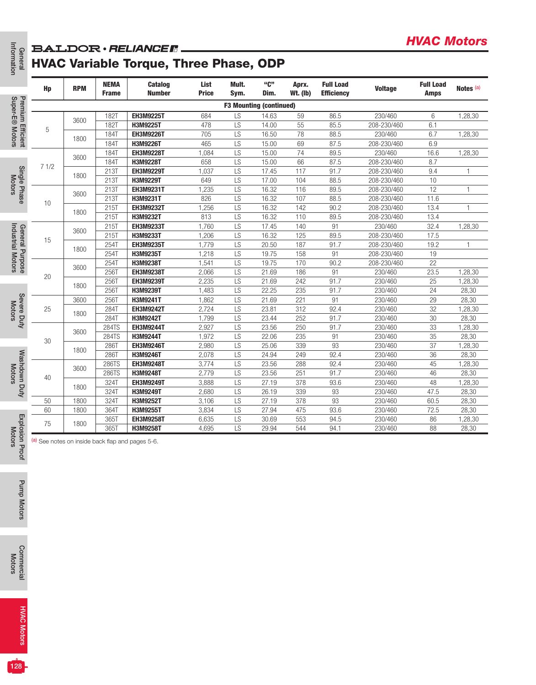### **BALDOR** · RELIANCE R.

# HVAC Variable Torque, Three Phase, ODP

| Hp   | <b>RPM</b> | <b>NEMA</b><br><b>Frame</b> | <b>Catalog</b><br><b>Number</b>                  | List<br><b>Price</b> | Mult.<br>Sym.   | "ር"<br>Dim.                    | Aprx.<br><b>Wt. (Ib)</b> | <b>Full Load</b><br><b>Efficiency</b> | <b>Voltage</b>             | <b>Full Load</b><br><b>Amps</b> | Notes (a)        |
|------|------------|-----------------------------|--------------------------------------------------|----------------------|-----------------|--------------------------------|--------------------------|---------------------------------------|----------------------------|---------------------------------|------------------|
|      |            |                             |                                                  |                      |                 | <b>F3 Mounting (continued)</b> |                          |                                       |                            |                                 |                  |
|      | 3600       | <b>182T</b>                 | <b>EH3M9225T</b>                                 | 684                  | LS              | 14.63                          | 59                       | 86.5                                  | 230/460                    | 6                               | 1,28,30          |
| 5    |            | <b>182T</b>                 | H3M9225T                                         | 478                  | LS              | 14.00                          | 55                       | 85.5                                  | 208-230/460                | 6.1                             |                  |
|      | 1800       | 184T                        | <b>EH3M9226T</b>                                 | 705                  | LS              | 16.50                          | 78                       | 88.5                                  | 230/460                    | 6.7                             | 1,28,30          |
|      |            | <b>184T</b>                 | H3M9226T                                         | 465                  | $\overline{LS}$ | 15.00                          | 69                       | 87.5                                  | 208-230/460                | 6.9                             |                  |
|      | 3600       | 184T                        | <b>EH3M9228T</b>                                 | 1,084                | LS              | 15.00                          | 74                       | 89.5                                  | 230/460                    | 16.6                            | 1,28,30          |
| 71/2 |            | 184T                        | H3M9228T                                         | 658                  | LS              | 15.00                          | 66                       | 87.5                                  | 208-230/460                | 8.7                             |                  |
|      | 1800       | 213T                        | <b>EH3M9229T</b>                                 | 1,037                | LS              | 17.45                          | 117                      | 91.7                                  | 208-230/460                | 9.4                             | 1                |
|      |            | 213T                        | H3M9229T                                         | 649                  | LS              | 17.00                          | 104                      | 88.5                                  | 208-230/460                | 10                              |                  |
|      | 3600       | 213T<br>213T                | <b>EH3M9231T</b><br>H3M9231T                     | 1,235<br>826         | LS<br>LS        | 16.32<br>16.32                 | 116<br>107               | 89.5<br>88.5                          | 208-230/460<br>208-230/460 | 12<br>11.6                      | $\mathbf{1}$     |
| 10   |            | 215T                        | <b>EH3M9232T</b>                                 | 1,256                | LS              | 16.32                          | 142                      | 90.2                                  | 208-230/460                | 13.4                            | $\mathbf{1}$     |
|      | 1800       | <b>215T</b>                 | H3M9232T                                         | 813                  | $\overline{LS}$ | 16.32                          | 110                      | 89.5                                  | 208-230/460                | 13.4                            |                  |
|      |            | 215T                        | <b>EH3M9233T</b>                                 | 1,760                | LS              | 17.45                          | 140                      | 91                                    | 230/460                    | 32.4                            | 1,28,30          |
|      | 3600       | <b>215T</b>                 | H3M9233T                                         | 1,206                | LS              | 16.32                          | 125                      | 89.5                                  | 208-230/460                | 17.5                            |                  |
| 15   |            | 254T                        | <b>EH3M9235T</b>                                 | 1,779                | LS              | 20.50                          | 187                      | 91.7                                  | 208-230/460                | 19.2                            | $\mathbf{1}$     |
|      | 1800       | 254T                        | H3M9235T                                         | 1,218                | LS              | 19.75                          | 158                      | 91                                    | 208-230/460                | 19                              |                  |
|      |            | 254T                        | H3M9238T                                         | 1,541                | LS              | 19.75                          | 170                      | 90.2                                  | 208-230/460                | 22                              |                  |
|      | 3600       | 256T                        | <b>EH3M9238T</b>                                 | 2,066                | LS              | 21.69                          | 186                      | 91                                    | 230/460                    | 23.5                            | 1,28,30          |
| 20   |            | 256T                        | <b>EH3M9239T</b>                                 | 2,235                | LS              | 21.69                          | 242                      | 91.7                                  | 230/460                    | 25                              | 1,28,30          |
|      | 1800       | 256T                        | H3M9239T                                         | 1,483                | LS              | 22.25                          | 235                      | 91.7                                  | 230/460                    | 24                              | 28,30            |
|      | 3600       | 256T                        | H3M9241T                                         | 1,862                | LS              | 21.69                          | 221                      | 91                                    | 230/460                    | 29                              | 28,30            |
| 25   | 1800       | 284T                        | <b>EH3M9242T</b>                                 | 2,724                | LS              | 23.81                          | 312                      | 92.4                                  | 230/460                    | 32                              | 1,28,30          |
|      |            | <b>284T</b>                 | H3M9242T                                         | 1,799                | LS              | 23.44                          | 252                      | 91.7                                  | 230/460                    | 30                              | 28,30            |
|      | 3600       | 284TS                       | <b>EH3M9244T</b>                                 | 2,927                | LS              | 23.56                          | 250                      | 91.7                                  | 230/460                    | 33                              | 1,28,30          |
| 30   |            | 284TS                       | <b>H3M9244T</b>                                  | 1,972                | LS              | 22.06                          | 235                      | 91                                    | 230/460                    | 35                              | 28,30            |
|      | 1800       | 286T                        | <b>EH3M9246T</b>                                 | 2,980                | LS              | 25.06                          | 339                      | 93                                    | 230/460                    | 37                              | 1,28,30          |
|      |            | 286T                        | H3M9246T                                         | 2,078                | LS<br>LS        | 24.94                          | 249<br>288               | 92.4<br>92.4                          | 230/460                    | 36                              | 28,30            |
|      | 3600       | 286TS<br>286TS              | <b>EH3M9248T</b><br>H3M9248T                     | 3,774<br>2,779       | LS              | 23.56<br>23.56                 | 251                      | 91.7                                  | 230/460<br>230/460         | 45<br>46                        | 1,28,30<br>28,30 |
| 40   |            | 324T                        | <b>EH3M9249T</b>                                 | 3,888                | LS              | 27.19                          | 378                      | 93.6                                  | 230/460                    | 48                              | 1,28,30          |
|      | 1800       | 324T                        | H3M9249T                                         | 2,680                | LS              | 26.19                          | 339                      | 93                                    | 230/460                    | 47.5                            | 28,30            |
| 50   | 1800       | 324T                        | H3M9252T                                         | 3,106                | LS              | 27.19                          | 378                      | 93                                    | 230/460                    | 60.5                            | 28,30            |
| 60   | 1800       | 364T                        | H3M9255T                                         | 3,834                | LS              | 27.94                          | 475                      | 93.6                                  | 230/460                    | 72.5                            | 28,30            |
|      |            | 365T                        | <b>EH3M9258T</b>                                 | 6,635                | LS              | 30.69                          | 553                      | 94.5                                  | 230/460                    | 86                              | 1,28,30          |
| 75   | 1800       | 365T                        | H3M9258T                                         | 4,695                | LS              | 29.94                          | 544                      | 94.1                                  | 230/460                    | 88                              | 28,30            |
|      |            |                             | (a) See notes on inside back flap and pages 5-6. |                      |                 |                                |                          |                                       |                            |                                 |                  |
|      |            |                             |                                                  |                      |                 |                                |                          |                                       |                            |                                 |                  |
|      |            |                             |                                                  |                      |                 |                                |                          |                                       |                            |                                 |                  |
|      |            |                             |                                                  |                      |                 |                                |                          |                                       |                            |                                 |                  |

*HVAC Motors*

Motors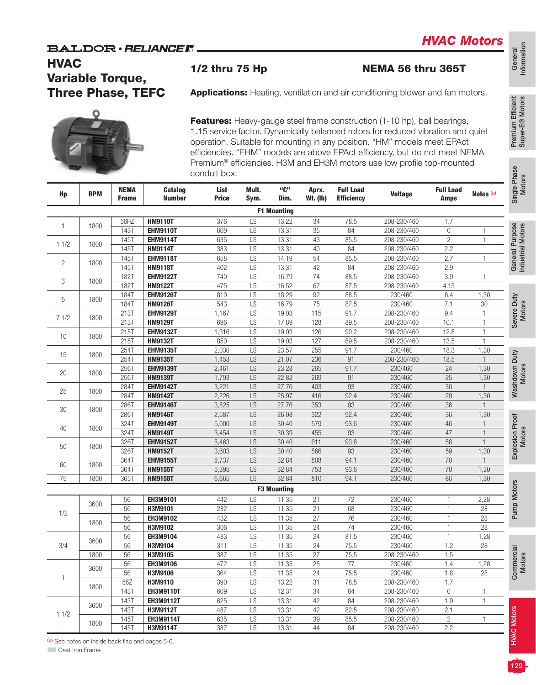Information

General<br>Information

## **HVAC** Variable Torque, Three Phase, TEFC

| <b>HVAC</b> |            | <b>Variable Torque,</b>  |                                   | 1/2 thru 75 Hp       |           |                    |                 |                   | NEMA 56 thru 365T                                                                                                                                                                                                                                                                                                       |                  |                      |
|-------------|------------|--------------------------|-----------------------------------|----------------------|-----------|--------------------|-----------------|-------------------|-------------------------------------------------------------------------------------------------------------------------------------------------------------------------------------------------------------------------------------------------------------------------------------------------------------------------|------------------|----------------------|
|             |            | <b>Three Phase, TEFC</b> |                                   |                      |           |                    |                 |                   | <b>Applications:</b> Heating, ventilation and air conditioning blower and fan motors.                                                                                                                                                                                                                                   |                  |                      |
|             |            |                          |                                   |                      |           |                    |                 |                   | Features: Heavy-gauge steel frame construction (1-10 hp), ball bearings,<br>1.15 service factor. Dynamically balanced rotors for reduced vibration and quiet<br>operation. Suitable for mounting in any position. "HM" models meet EPAct<br>efficiencies. "EHM" models are above EPAct efficiency, but do not meet NEMA |                  |                      |
|             |            | <b>NEMA</b>              | Catalog                           | conduit box.<br>List | Mult.     | "C"                | Aprx.           | <b>Full Load</b>  | Premium <sup>®</sup> efficiencies. H3M and EH3M motors use low profile top-mounted                                                                                                                                                                                                                                      | <b>Full Load</b> |                      |
| Hp          | <b>RPM</b> | <b>Frame</b>             | <b>Number</b>                     | <b>Price</b>         | Sym.      | Dim.               | <b>Wt. (Ib)</b> | <b>Efficiency</b> | <b>Voltage</b>                                                                                                                                                                                                                                                                                                          | Amps             | Notes <sup>(a)</sup> |
|             |            |                          |                                   |                      |           | <b>F1 Mounting</b> |                 |                   |                                                                                                                                                                                                                                                                                                                         |                  |                      |
| 1           | 1800       | 56HZ                     | <b>HM9110T</b>                    | 376                  | LS        | 13.22              | 34              | 78.5              | 208-230/460                                                                                                                                                                                                                                                                                                             | 1.7              |                      |
|             |            | <b>143T</b>              | <b>EHM9110T</b>                   | 609                  | LS        | 13.31              | 35              | 84                | 208-230/460                                                                                                                                                                                                                                                                                                             | 0                |                      |
| 11/2        | 1800       | 145T                     | <b>EHM9114T</b>                   | 635                  | LS        | 13.31              | 43              | 85.5              | 208-230/460                                                                                                                                                                                                                                                                                                             | $\overline{2}$   | $\mathbf{1}$         |
|             |            | <b>145T</b>              | <b>HM9114T</b>                    | 383                  | LS        | 13.31              | 40              | 84                | 208-230/460                                                                                                                                                                                                                                                                                                             | 2.2              |                      |
| 2           | 1800       | 145T                     | <b>EHM9118T</b>                   | 658                  | LS        | 14.19              | 54              | 85.5              | 208-230/460                                                                                                                                                                                                                                                                                                             | 2.7              | 1                    |
|             |            | 145T<br><b>182T</b>      | <b>HM9118T</b><br><b>EHM9122T</b> | 402<br>740           | LS<br>LS  | 13.31<br>16.79     | 42<br>74        | 84<br>88.5        | 208-230/460<br>208-230/460                                                                                                                                                                                                                                                                                              | 2.9<br>3.9       | 1                    |
| 3           | 1800       | <b>182T</b>              | <b>HM9122T</b>                    | 475                  | LS        | 16.52              | 67              | 87.5              | 208-230/460                                                                                                                                                                                                                                                                                                             | 4.15             |                      |
|             |            | <b>184T</b>              | <b>EHM9126T</b>                   | 810                  | LS        | 18.29              | 92              | 88.5              | 230/460                                                                                                                                                                                                                                                                                                                 | 6.4              | 1,30                 |
| 5           | 1800       | <b>184T</b>              | <b>HM9126T</b>                    | 543                  | LS        | 16.79              | 75              | 87.5              | 230/460                                                                                                                                                                                                                                                                                                                 | 7.1              | 30                   |
|             |            | 213T                     | <b>EHM9129T</b>                   | 1,167                | LS        | 19.03              | 115             | 91.7              | 208-230/460                                                                                                                                                                                                                                                                                                             | 9.4              |                      |
| 71/2        | 1800       | 213T                     | <b>HM9129T</b>                    | 696                  | LS        | 17.89              | 128             | 89.5              | 208-230/460                                                                                                                                                                                                                                                                                                             | 10.1             | $\mathbf{1}$         |
|             |            | 215T                     | <b>EHM9132T</b>                   | 1,316                | LS        | 19.03              | 126             | 90.2              | 208-230/460                                                                                                                                                                                                                                                                                                             | 12.8             | $\mathbf{1}$         |
| 10          | 1800       | <b>215T</b>              | <b>HM9132T</b>                    | 850                  | LS        | 19.03              | 127             | 89.5              | 208-230/460                                                                                                                                                                                                                                                                                                             | 13.5             |                      |
|             |            | 254T                     | <b>EHM9135T</b>                   | 2,030                | LS        | 23.57              | 255             | 91.7              | 230/460                                                                                                                                                                                                                                                                                                                 | 18.3             | 1,30                 |
| 15          | 1800       | 254T                     | <b>HM9135T</b>                    | 1,453                | LS        | 21.07              | 236             | 91                | 208-230/460                                                                                                                                                                                                                                                                                                             | 18.5             |                      |
|             |            | 256T                     | <b>EHM9139T</b>                   | 2,461                | LS        | 23.28              | 265             | 91.7              | 230/460                                                                                                                                                                                                                                                                                                                 | 24               | 1,30                 |
| 20          | 1800       | 256T                     | <b>HM9139T</b>                    | 1,793                | LS        | 22.82              | 269             | 91                | 230/460                                                                                                                                                                                                                                                                                                                 | 25               | 1,30                 |
|             | 1800       | 284T                     | <b>EHM9142T</b>                   | 3,221                | LS        | 27.76              | 403             | 93                | 230/460                                                                                                                                                                                                                                                                                                                 | 30               |                      |
| 25          |            | 284T                     | <b>HM9142T</b>                    | 2,226                | LS        | 25.97              | 416             | 92.4              | 230/460                                                                                                                                                                                                                                                                                                                 | 29               | 1,30                 |
| 30          | 1800       | 286T                     | <b>EHM9146T</b>                   | 3,825                | LS        | 27.76              | 353             | 93                | 230/460                                                                                                                                                                                                                                                                                                                 | 36               |                      |
|             |            | 286T                     | <b>HM9146T</b>                    | 2,587                | LS        | 26.08              | 322             | 92.4              | 230/460                                                                                                                                                                                                                                                                                                                 | 36               | 1,30                 |
| 40          | 1800       | 324T                     | <b>EHM9149T</b>                   | 5,000                | LS        | 30.40              | 579             | 93.6              | 230/460                                                                                                                                                                                                                                                                                                                 | 46               |                      |
|             |            | 324T                     | <b>HM9149T</b>                    | 3,454                | LS        | 30.39              | 455             | 93                | 230/460                                                                                                                                                                                                                                                                                                                 | 47               | $\mathbf{1}$         |
| 50          | 1800       | 326T                     | <b>EHM9152T</b>                   | 5,463                | LS        | 30.40              | 611             | 93.6              | 230/460                                                                                                                                                                                                                                                                                                                 | 58               |                      |
|             |            | 326T                     | <b>HM9152T</b>                    | 3,603                | LS        | 30.40              | 566             | 93                | 230/460                                                                                                                                                                                                                                                                                                                 | 59               | 1,30                 |
| 60          | 1800       | 364T                     | <b>EHM9155T</b>                   | 8,737                | LS        | 32.84              | 808             | 94.1              | 230/460                                                                                                                                                                                                                                                                                                                 | 70               |                      |
|             |            | 364T                     | <b>HM9155T</b>                    | 5,395                | LS        | 32.84              | 753             | 93.6              | 230/460                                                                                                                                                                                                                                                                                                                 | 70               | 1,30                 |
| 75          | 1800       | 365T                     | <b>HM9158T</b>                    | 6,665                | <b>LS</b> | 32.84              | 810             | 94.1              | 230/460                                                                                                                                                                                                                                                                                                                 | 86               | 1,30                 |
|             |            |                          |                                   |                      |           | <b>F3 Mounting</b> |                 |                   |                                                                                                                                                                                                                                                                                                                         |                  |                      |
|             | 3600       | 56                       | EH3M9101                          | 442                  | LS        | 11.35              | 21              | 72                | 230/460                                                                                                                                                                                                                                                                                                                 | 1                | 2,28                 |
| 1/2         |            | 56                       | H3M9101                           | 282                  | LS        | 11.35              | 21              | 68                | 230/460                                                                                                                                                                                                                                                                                                                 | 1                | 28                   |
|             | 1800       | 56                       | EH3M9102                          | 432                  | LS        | 11.35              | 27              | 76                | 230/460                                                                                                                                                                                                                                                                                                                 | $\mathbf{1}$     | 28                   |
|             |            | 56                       | H3M9102                           | 306                  | LS        | 11.35              | 24              | 74                | 230/460                                                                                                                                                                                                                                                                                                                 | $\mathbf{1}$     | 28                   |
| 3/4         | 3600       | 56                       | EH3M9104<br>H3M9104               | 483                  | LS        | 11.35              | 24              | 81.5              | 230/460<br>230/460                                                                                                                                                                                                                                                                                                      | $\mathbf{1}$     | 1,28                 |
|             | 1800       | 56<br>56                 | H3M9105                           | 311<br>387           | LS<br>LS  | 11.35<br>11.35     | 24<br>27        | 75.5<br>75.5      | 208-230/460                                                                                                                                                                                                                                                                                                             | 1.2<br>1.5       | 28                   |
|             |            | 56                       | EH3M9106                          | 472                  | LS        | 11.35              | 25              | 77                | 230/460                                                                                                                                                                                                                                                                                                                 | 1.4              | 1,28                 |
|             | 3600       | 56                       | H3M9106                           | 364                  | LS        | 11.35              | 24              | 75.5              | 230/460                                                                                                                                                                                                                                                                                                                 | 1.8              | 28                   |
| 1           |            | 56Z                      | H3M9110                           | 390                  | LS        | 13.22              | 31              | 78.5              | 208-230/460                                                                                                                                                                                                                                                                                                             | 1.7              |                      |
|             | 1800       | <b>143T</b>              | <b>EH3M9110T</b>                  | 609                  | LS        | 12.31              | 34              | 84                | 208-230/460                                                                                                                                                                                                                                                                                                             | $\mathbf 0$      | 1                    |
|             |            | <b>143T</b>              | <b>EH3M9112T</b>                  | 625                  | LS        | 13.31              | 42              | 84                | 208-230/460                                                                                                                                                                                                                                                                                                             | 1.9              | 1                    |
|             | 3600       | <b>143T</b>              | H3M9112T                          | 487                  | LS        | 13.31              | 42              | 82.5              | 208-230/460                                                                                                                                                                                                                                                                                                             | 2.1              |                      |
|             |            |                          |                                   |                      |           |                    |                 |                   |                                                                                                                                                                                                                                                                                                                         |                  |                      |
| 11/2        | 1800       | <b>145T</b>              | <b>EH3M9114T</b>                  | 635                  | LS        | 13.31              | 39              | 85.5              | 208-230/460                                                                                                                                                                                                                                                                                                             | $\overline{c}$   | 1                    |

(a) See notes on inside back flap and pages 5-6.

**Cast Iron Frame**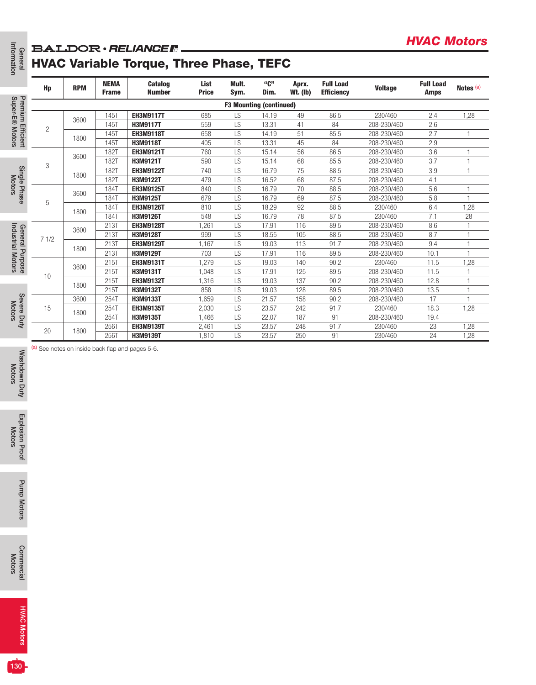### **BALDOR** · RELIANCE F.

## HVAC Variable Torque, Three Phase, TEFC

|                                                                    |              |            |                             | <b>BALDOR</b> · RELIANCE R.                    |                      |                 |                                |                          |                                       |                            | <b>HVAC Motors</b>              |                      |
|--------------------------------------------------------------------|--------------|------------|-----------------------------|------------------------------------------------|----------------------|-----------------|--------------------------------|--------------------------|---------------------------------------|----------------------------|---------------------------------|----------------------|
| Information<br>General                                             |              |            |                             | <b>HVAC Variable Torque, Three Phase, TEFC</b> |                      |                 |                                |                          |                                       |                            |                                 |                      |
|                                                                    | Hp           | <b>RPM</b> | <b>NEMA</b><br><b>Frame</b> | <b>Catalog</b><br><b>Number</b>                | List<br><b>Price</b> | Mult.<br>Sym.   | "C"<br>Dim.                    | Aprx.<br><b>Wt. (Ib)</b> | <b>Full Load</b><br><b>Efficiency</b> | <b>Voltage</b>             | <b>Full Load</b><br><b>Amps</b> | Notes <sup>(a)</sup> |
| Super-E® Motors<br>Premium Efficient                               |              |            |                             |                                                |                      |                 | <b>F3 Mounting (continued)</b> |                          |                                       |                            |                                 |                      |
|                                                                    |              | 3600       | 145T                        | <b>EH3M9117T</b>                               | 685                  | LS              | 14.19                          | 49                       | 86.5                                  | 230/460                    | 2.4                             | 1,28                 |
|                                                                    | $\mathbf{2}$ |            | <b>145T</b>                 | H3M9117T                                       | 559                  | LS              | 13.31                          | 41                       | 84                                    | 208-230/460                | 2.6                             |                      |
|                                                                    |              | 1800       | <b>145T</b>                 | <b>EH3M9118T</b>                               | 658                  | LS              | 14.19                          | 51                       | 85.5                                  | 208-230/460                | 2.7                             | $\mathbf{1}$         |
|                                                                    |              |            | 145T                        | H3M9118T                                       | 405                  | LS              | 13.31                          | 45                       | 84                                    | 208-230/460                | 2.9                             |                      |
|                                                                    |              | 3600       | <b>182T</b>                 | <b>EH3M9121T</b>                               | 760                  | LS              | 15.14                          | 56                       | 86.5                                  | 208-230/460                | 3.6                             | 1                    |
|                                                                    | 3            |            | 182T                        | H3M9121T                                       | 590                  | LS<br>LS        | 15.14                          | 68<br>75                 | 85.5                                  | 208-230/460                | 3.7                             | 1                    |
| Single Phase<br>Motors                                             |              | 1800       | <b>182T</b><br><b>182T</b>  | <b>EH3M9122T</b><br>H3M9122T                   | 740<br>479           | $\overline{LS}$ | 16.79<br>16.52                 | 68                       | 88.5<br>87.5                          | 208-230/460<br>208-230/460 | 3.9<br>4.1                      | $\mathbf{1}$         |
|                                                                    |              |            | 184T                        | <b>EH3M9125T</b>                               | 840                  | LS              | 16.79                          | 70                       | 88.5                                  | 208-230/460                | 5.6                             | $\mathbf{1}$         |
|                                                                    |              | 3600       | 184T                        | H3M9125T                                       | 679                  | LS              | 16.79                          | 69                       | 87.5                                  | 208-230/460                | 5.8                             | $\mathbf{1}$         |
|                                                                    | 5            |            | 184T                        | <b>EH3M9126T</b>                               | 810                  | LS              | 18.29                          | 92                       | 88.5                                  | 230/460                    | 6.4                             | 1,28                 |
|                                                                    |              | 1800       | 184T                        | H3M9126T                                       | 548                  | LS              | 16.79                          | 78                       | 87.5                                  | 230/460                    | 7.1                             | 28                   |
|                                                                    |              | 3600       | 213T                        | <b>EH3M9128T</b>                               | 1,261                | LS              | 17.91                          | 116                      | 89.5                                  | 208-230/460                | 8.6                             | $\mathbf{1}$         |
| General Purpose<br>Industrial Motors                               | 71/2         |            | 213T                        | H3M9128T                                       | 999                  | LS              | 18.55                          | 105                      | 88.5                                  | 208-230/460                | 8.7                             | 1                    |
|                                                                    |              | 1800       | 213T                        | <b>EH3M9129T</b>                               | 1,167                | LS              | 19.03                          | 113                      | 91.7                                  | 208-230/460                | 9.4                             | $\mathbf{1}$         |
|                                                                    |              |            | 213T                        | H3M9129T                                       | 703                  | $\overline{LS}$ | 17.91                          | 116                      | 89.5                                  | 208-230/460                | 10.1                            | $\mathbf{1}$         |
|                                                                    |              | 3600       | 215T                        | <b>EH3M9131T</b>                               | 1,279                | LS              | 19.03                          | 140                      | 90.2                                  | 230/460                    | 11.5                            | 1,28                 |
|                                                                    | 10           |            | 215T<br>215T                | H3M9131T<br><b>EH3M9132T</b>                   | 1,048<br>1,316       | LS<br>LS        | 17.91<br>19.03                 | 125<br>137               | 89.5<br>90.2                          | 208-230/460<br>208-230/460 | 11.5<br>12.8                    | 1<br>$\mathbf{1}$    |
|                                                                    |              | 1800       | 215T                        | H3M9132T                                       | 858                  | LS              | 19.03                          | 128                      | 89.5                                  | 208-230/460                | 13.5                            | $\mathbf{1}$         |
|                                                                    |              | 3600       | 254T                        | H3M9133T                                       | 1,659                | LS              | 21.57                          | 158                      | 90.2                                  | 208-230/460                | 17                              | $\mathbf{1}$         |
|                                                                    | 15           |            | 254T                        | <b>EH3M9135T</b>                               | 2,030                | LS              | 23.57                          | 242                      | 91.7                                  | 230/460                    | 18.3                            | 1,28                 |
| Severe Duty<br><b>Motors</b>                                       |              | 1800       | 254T                        | H3M9135T                                       | 1,466                | LS              | 22.07                          | 187                      | 91                                    | 208-230/460                | 19.4                            |                      |
|                                                                    | 20           | 1800       | 256T                        | <b>EH3M9139T</b>                               | 2,461                | LS              | 23.57                          | 248                      | 91.7                                  | 230/460                    | 23                              | 1,28                 |
|                                                                    |              |            | 256T                        | H3M9139T                                       | 1,810                | LS              | 23.57                          | 250                      | 91                                    | 230/460                    | 24                              | 1,28                 |
| Washdown Duty<br><b>Motors</b><br><b>Explosion Proof</b><br>Motors |              |            |                             |                                                |                      |                 |                                |                          |                                       |                            |                                 |                      |
| <b>Pump Motors</b><br><b>Commercial</b><br><b>Motors</b>           |              |            |                             |                                                |                      |                 |                                |                          |                                       |                            |                                 |                      |

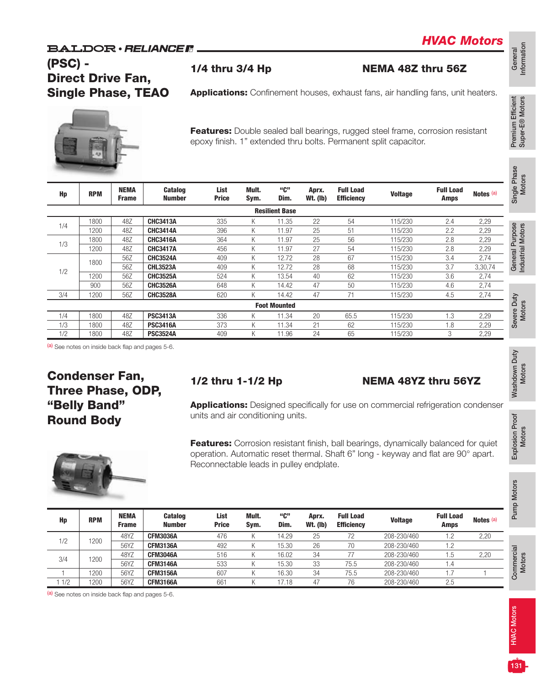### **BALDOR** · RELIANCE F

## (PSC) - Direct Drive Fan, Single Phase, TEAO

Applications: Confinement houses, exhaust fans, air handling fans, unit heaters.



Features: Double sealed ball bearings, rugged steel frame, corrosion resistant epoxy finish. 1" extended thru bolts. Permanent split capacitor.

1/4 thru 3/4 Hp NEMA 48Z thru 56Z

| Hp  | <b>RPM</b> | <b>NEMA</b><br><b>Frame</b> | <b>Catalog</b><br><b>Number</b> | List<br><b>Price</b> | Mult.<br>Sym. | "C"<br>Dim.           | Aprx.<br><b>Wt. (Ib)</b> | <b>Full Load</b><br><b>Efficiency</b> | <b>Voltage</b> | <b>Full Load</b><br><b>Amps</b> | Notes (a) |
|-----|------------|-----------------------------|---------------------------------|----------------------|---------------|-----------------------|--------------------------|---------------------------------------|----------------|---------------------------------|-----------|
|     |            |                             |                                 |                      |               | <b>Resilient Base</b> |                          |                                       |                |                                 |           |
| 1/4 | 1800       | 48Z                         | <b>CHC3413A</b>                 | 335                  | Κ             | 11.35                 | 22                       | 54                                    | 115/230        | 2.4                             | 2,29      |
|     | 200        | 48Z                         | <b>CHC3414A</b>                 | 396                  | Κ             | 11.97                 | 25                       | 51                                    | 115/230        | 2.2                             | 2,29      |
| 1/3 | 1800       | 48Z                         | <b>CHC3416A</b>                 | 364                  | Κ             | 11.97                 | 25                       | 56                                    | 115/230        | 2.8                             | 2,29      |
|     | 1200       | 48Z                         | <b>CHC3417A</b>                 | 456                  | Κ             | 11.97                 | 27                       | 54                                    | 115/230        | 2.8                             | 2,29      |
|     | 1800       | 56Z                         | <b>CHC3524A</b>                 | 409                  | K             | 12.72                 | 28                       | 67                                    | 115/230        | 3.4                             | 2,74      |
| 1/2 |            | 56Z                         | <b>CHL3523A</b>                 | 409                  | Κ             | 12.72                 | 28                       | 68                                    | 115/230        | 3.7                             | 3,30,74   |
|     | 1200       | 56Z                         | <b>CHC3525A</b>                 | 524                  | K             | 13.54                 | 40                       | 62                                    | 115/230        | 3.6                             | 2,74      |
|     | 900        | 56Z                         | <b>CHC3526A</b>                 | 648                  | K             | 14.42                 | 47                       | 50                                    | 115/230        | 4.6                             | 2,74      |
| 3/4 | 1200       | 56Z                         | <b>CHC3528A</b>                 | 620                  | Κ             | 14.42                 | 47                       | 71                                    | 115/230        | 4.5                             | 2,74      |
|     |            |                             |                                 |                      |               | <b>Foot Mounted</b>   |                          |                                       |                |                                 |           |
| 1/4 | 1800       | 48Z                         | <b>PSC3413A</b>                 | 336                  | Κ             | 11.34                 | 20                       | 65.5                                  | 115/230        | 1.3                             | 2,29      |
| 1/3 | 1800       | 48Z                         | <b>PSC3416A</b>                 | 373                  | Κ             | 11.34                 | 21                       | 62                                    | 115/230        | 1.8                             | 2,29      |
| 1/2 | 800        | 48Z                         | <b>PSC3524A</b>                 | 409                  | Κ             | 11.96                 | 24                       | 65                                    | 115/230        | 3                               | 2,29      |

(a) See notes on inside back flap and pages 5-6.

## Condenser Fan, Three Phase, ODP, "Belly Band" Round Body

#### 1/2 thru 1-1/2 Hp **NEMA 48YZ** thru 56YZ

Applications: Designed specifically for use on commercial refrigeration condenser units and air conditioning units.

Features: Corrosion resistant finish, ball bearings, dynamically balanced for quiet operation. Automatic reset thermal. Shaft 6" long - keyway and flat are 90° apart. Reconnectable leads in pulley endplate.

| Hp  | <b>RPM</b> | <b>NEMA</b><br><b>Frame</b> | <b>Catalog</b><br><b>Number</b> | List<br><b>Price</b> | Mult.<br>Sym. | "ር"<br>Dim. | Aprx.<br><b>Wt. (Ib)</b> | <b>Full Load</b><br><b>Efficiency</b> | <b>Voltage</b> | <b>Full Load</b><br><b>Amps</b> | Notes <sup>(a)</sup> |
|-----|------------|-----------------------------|---------------------------------|----------------------|---------------|-------------|--------------------------|---------------------------------------|----------------|---------------------------------|----------------------|
| 1/2 | 200        | 48YZ                        | <b>CFM3036A</b>                 | 476                  |               | 14.29       | 25                       | 70                                    | 208-230/460    | .2                              | 2,20                 |
|     |            | 56YZ                        | <b>CFM3136A</b>                 | 492                  |               | 15.30       | 26                       | 70                                    | 208-230/460    | 2. ا                            |                      |
| 3/4 | 200        | 48YZ                        | <b>CFM3046A</b>                 | 516                  |               | 16.02       | 34                       |                                       | 208-230/460    | l.b                             | 2,20                 |
|     |            | 56YZ                        | <b>CFM3146A</b>                 | 533                  |               | 15.30       | 33                       | 75.5                                  | 208-230/460    | ، ۱                             |                      |
|     | 200        | 56YZ                        | <b>CFM3156A</b>                 | 607                  |               | 16.30       | 34                       | 75.5                                  | 208-230/460    |                                 |                      |
| 1/2 | 1200       | 56YZ                        | <b>CFM3166A</b>                 | 661                  |               | 7.18        | 47                       | 76                                    | 208-230/460    | 2.5                             |                      |

(a) See notes on inside back flap and pages 5-6.



Pump Motors

Pump Motors

**Commercial** Commercial<br>Motors